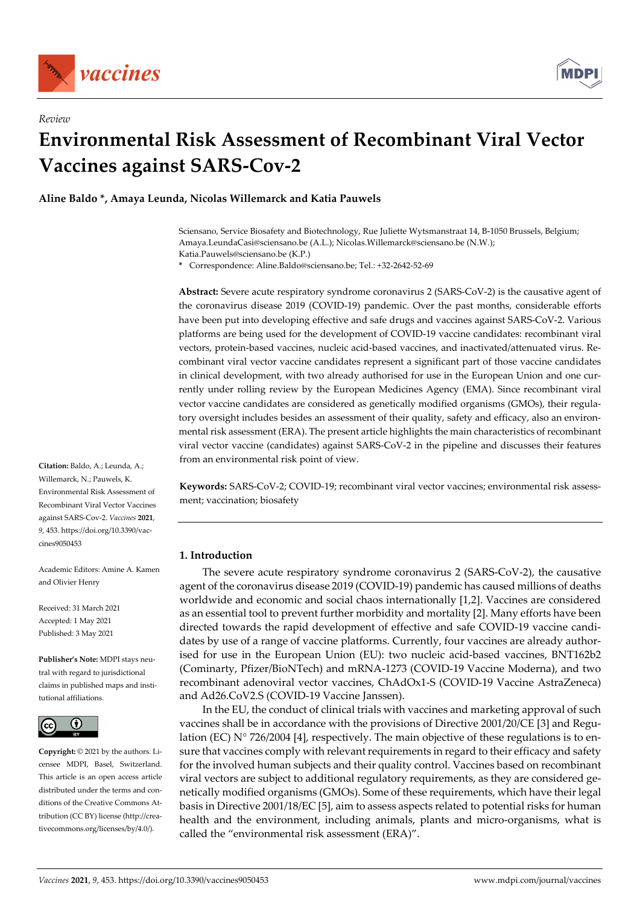

*Review* 



# **Environmental Risk Assessment of Recombinant Viral Vector Vaccines against SARS-Cov-2**

**Aline Baldo \*, Amaya Leunda, Nicolas Willemarck and Katia Pauwels** 

Sciensano, Service Biosafety and Biotechnology, Rue Juliette Wytsmanstraat 14, B-1050 Brussels, Belgium; Amaya.LeundaCasi@sciensano.be (A.L.); Nicolas.Willemarck@sciensano.be (N.W.); Katia.Pauwels@sciensano.be (K.P.)

**\*** Correspondence: Aline.Baldo@sciensano.be; Tel.: +32-2642-52-69

**Abstract:** Severe acute respiratory syndrome coronavirus 2 (SARS-CoV-2) is the causative agent of the coronavirus disease 2019 (COVID-19) pandemic. Over the past months, considerable efforts have been put into developing effective and safe drugs and vaccines against SARS-CoV-2. Various platforms are being used for the development of COVID-19 vaccine candidates: recombinant viral vectors, protein-based vaccines, nucleic acid-based vaccines, and inactivated/attenuated virus. Recombinant viral vector vaccine candidates represent a significant part of those vaccine candidates in clinical development, with two already authorised for use in the European Union and one currently under rolling review by the European Medicines Agency (EMA). Since recombinant viral vector vaccine candidates are considered as genetically modified organisms (GMOs), their regulatory oversight includes besides an assessment of their quality, safety and efficacy, also an environmental risk assessment (ERA). The present article highlights the main characteristics of recombinant viral vector vaccine (candidates) against SARS-CoV-2 in the pipeline and discusses their features from an environmental risk point of view.

**Keywords:** SARS-CoV-2; COVID-19; recombinant viral vector vaccines; environmental risk assessment; vaccination; biosafety

# **1. Introduction**

The severe acute respiratory syndrome coronavirus 2 (SARS-CoV-2), the causative agent of the coronavirus disease 2019 (COVID-19) pandemic has caused millions of deaths worldwide and economic and social chaos internationally [1,2]. Vaccines are considered as an essential tool to prevent further morbidity and mortality [2]. Many efforts have been directed towards the rapid development of effective and safe COVID-19 vaccine candidates by use of a range of vaccine platforms. Currently, four vaccines are already authorised for use in the European Union (EU): two nucleic acid-based vaccines, BNT162b2 (Cominarty, Pfizer/BioNTech) and mRNA-1273 (COVID-19 Vaccine Moderna), and two recombinant adenoviral vector vaccines, ChAdOx1-S (COVID-19 Vaccine AstraZeneca) and Ad26.CoV2.S (COVID-19 Vaccine Janssen).

In the EU, the conduct of clinical trials with vaccines and marketing approval of such vaccines shall be in accordance with the provisions of Directive 2001/20/CE [3] and Regulation (EC)  $N^{\circ}$  726/2004 [4], respectively. The main objective of these regulations is to ensure that vaccines comply with relevant requirements in regard to their efficacy and safety for the involved human subjects and their quality control. Vaccines based on recombinant viral vectors are subject to additional regulatory requirements, as they are considered genetically modified organisms (GMOs). Some of these requirements, which have their legal basis in Directive 2001/18/EC [5], aim to assess aspects related to potential risks for human health and the environment, including animals, plants and micro-organisms, what is called the "environmental risk assessment (ERA)".

**Citation:** Baldo, A.; Leunda, A.; Willemarck, N.; Pauwels, K. Environmental Risk Assessment of Recombinant Viral Vector Vaccines against SARS-Cov-2. *Vaccines* **2021**, *9*, 453. https://doi.org/10.3390/vaccines9050453

Academic Editors: Amine A. Kamen and Olivier Henry

Received: 31 March 2021 Accepted: 1 May 2021 Published: 3 May 2021

**Publisher's Note:** MDPI stays neutral with regard to jurisdictional claims in published maps and institutional affiliations.



**Copyright:** © 2021 by the authors. Licensee MDPI, Basel, Switzerland. This article is an open access article distributed under the terms and conditions of the Creative Commons Attribution (CC BY) license (http://creativecommons.org/licenses/by/4.0/).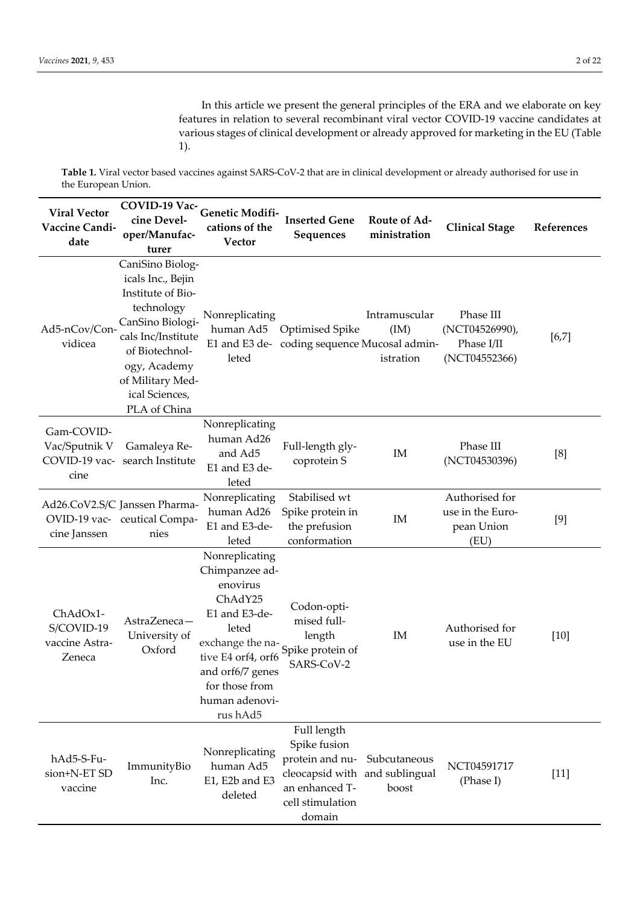In this article we present the general principles of the ERA and we elaborate on key features in relation to several recombinant viral vector COVID-19 vaccine candidates at various stages of clinical development or already approved for marketing in the EU (Table 1).

**Table 1.** Viral vector based vaccines against SARS-CoV-2 that are in clinical development or already authorised for use in the European Union.

| <b>Viral Vector</b><br>Vaccine Candi-<br>date        | COVID-19 Vac-<br>cine Devel-<br>oper/Manufac-<br>turer                                                                                                                                                     | Genetic Modifi-<br>cations of the<br>Vector                                                                                                                                                                         | <b>Inserted Gene</b><br>Sequences                                                                                                | Route of Ad-<br>ministration       | <b>Clinical Stage</b>                                      | References |
|------------------------------------------------------|------------------------------------------------------------------------------------------------------------------------------------------------------------------------------------------------------------|---------------------------------------------------------------------------------------------------------------------------------------------------------------------------------------------------------------------|----------------------------------------------------------------------------------------------------------------------------------|------------------------------------|------------------------------------------------------------|------------|
| Ad5-nCov/Con-<br>vidicea                             | CaniSino Biolog-<br>icals Inc., Bejin<br>Institute of Bio-<br>technology<br>CanSino Biologi-<br>cals Inc/Institute<br>of Biotechnol-<br>ogy, Academy<br>of Military Med-<br>ical Sciences,<br>PLA of China | Nonreplicating<br>leted                                                                                                                                                                                             | human Ad5 Optimised Spike<br>E1 and E3 de- coding sequence Mucosal admin-                                                        | Intramuscular<br>(IM)<br>istration | Phase III<br>(NCT04526990),<br>Phase I/II<br>(NCT04552366) | $[6,7]$    |
| Gam-COVID-<br>Vac/Sputnik V<br>COVID-19 vac-<br>cine | Gamaleya Re-<br>search Institute                                                                                                                                                                           | Nonreplicating<br>human Ad26<br>and Ad5<br>E1 and E3 de-<br>leted                                                                                                                                                   | Full-length gly-<br>coprotein S                                                                                                  | IM                                 | Phase III<br>(NCT04530396)                                 | [8]        |
| cine Janssen                                         | Ad26.CoV2.S/C Janssen Pharma-<br>OVID-19 vac- ceutical Compa-<br>nies                                                                                                                                      | Nonreplicating<br>human Ad26<br>E1 and E3-de-<br>leted                                                                                                                                                              | Stabilised wt<br>Spike protein in<br>the prefusion<br>conformation                                                               | IM                                 | Authorised for<br>use in the Euro-<br>pean Union<br>(EU)   | [9]        |
| ChAdOx1-<br>S/COVID-19<br>vaccine Astra-<br>Zeneca   | AstraZeneca-<br>University of<br>Oxford                                                                                                                                                                    | Nonreplicating<br>Chimpanzee ad-<br>enovirus<br>ChAdY25<br>E1 and E3-de-<br>leted<br>exchange the na-<br>Spike protein of<br>tive E4 orf4, orf6<br>and orf6/7 genes<br>for those from<br>human adenovi-<br>rus hAd5 | Codon-opti-<br>mised full-<br>length<br>SARS-CoV-2                                                                               | IM                                 | Authorised for<br>use in the EU                            | $[10]$     |
| hAd5-S-Fu-<br>sion+N-ET SD<br>vaccine                | ImmunityBio<br>Inc.                                                                                                                                                                                        | Nonreplicating<br>human Ad5<br>E1, E2b and E3<br>deleted                                                                                                                                                            | Full length<br>Spike fusion<br>protein and nu-<br>cleocapsid with and sublingual<br>an enhanced T-<br>cell stimulation<br>domain | Subcutaneous<br>boost              | NCT04591717<br>(Phase I)                                   | $[11]$     |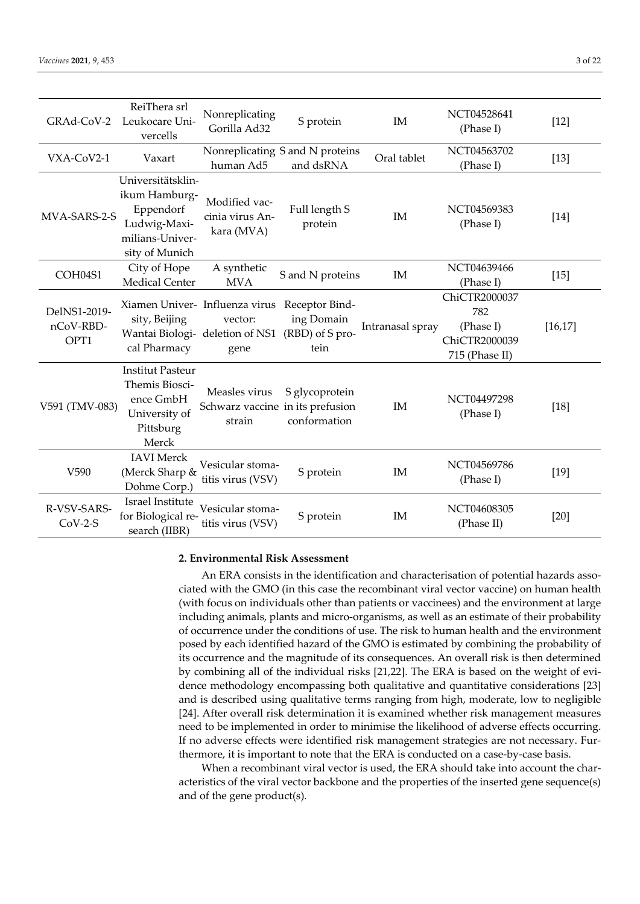| GRAd-CoV-2                        | ReiThera srl<br>Leukocare Uni-<br>vercells                                                           | Nonreplicating<br>Gorilla Ad32                                                       | S protein                                               | IM               | NCT04528641<br>(Phase I)                                             | $[12]$   |
|-----------------------------------|------------------------------------------------------------------------------------------------------|--------------------------------------------------------------------------------------|---------------------------------------------------------|------------------|----------------------------------------------------------------------|----------|
| VXA-CoV2-1                        | Vaxart                                                                                               | human Ad5                                                                            | Nonreplicating S and N proteins<br>and dsRNA            | Oral tablet      | NCT04563702<br>(Phase I)                                             | $[13]$   |
| MVA-SARS-2-S                      | Universitätsklin-<br>ikum Hamburg-<br>Eppendorf<br>Ludwig-Maxi-<br>milians-Univer-<br>sity of Munich | Modified vac-<br>cinia virus An-<br>kara (MVA)                                       | Full length S<br>protein                                | IM               | NCT04569383<br>(Phase I)                                             | $[14]$   |
| COH04S1                           | City of Hope<br><b>Medical Center</b>                                                                | A synthetic<br><b>MVA</b>                                                            | S and N proteins                                        | IM               | NCT04639466<br>(Phase I)                                             | $[15]$   |
| DelNS1-2019-<br>nCoV-RBD-<br>OPT1 | sity, Beijing<br>cal Pharmacy                                                                        | Xiamen Univer- Influenza virus<br>vector:<br>Wantai Biologi- deletion of NS1<br>gene | Receptor Bind-<br>ing Domain<br>(RBD) of S pro-<br>tein | Intranasal spray | ChiCTR2000037<br>782<br>(Phase I)<br>ChiCTR2000039<br>715 (Phase II) | [16, 17] |
| V591 (TMV-083)                    | <b>Institut Pasteur</b><br>Themis Biosci-<br>ence GmbH<br>University of<br>Pittsburg<br>Merck        | Measles virus<br>Schwarz vaccine in its prefusion<br>strain                          | S glycoprotein<br>conformation                          | IM               | NCT04497298<br>(Phase I)                                             | $[18]$   |
| V590                              | <b>IAVI</b> Merck<br>(Merck Sharp &<br>Dohme Corp.)                                                  | Vesicular stoma-<br>titis virus (VSV)                                                | S protein                                               | IM               | NCT04569786<br>(Phase I)                                             | $[19]$   |
| R-VSV-SARS-<br>$CoV-2-S$          | Israel Institute<br>for Biological re-<br>search (IIBR)                                              | Vesicular stoma-<br>titis virus (VSV)                                                | S protein                                               | IM               | NCT04608305<br>(Phase II)                                            | $[20]$   |

## **2. Environmental Risk Assessment**

An ERA consists in the identification and characterisation of potential hazards associated with the GMO (in this case the recombinant viral vector vaccine) on human health (with focus on individuals other than patients or vaccinees) and the environment at large including animals, plants and micro-organisms, as well as an estimate of their probability of occurrence under the conditions of use. The risk to human health and the environment posed by each identified hazard of the GMO is estimated by combining the probability of its occurrence and the magnitude of its consequences. An overall risk is then determined by combining all of the individual risks [21,22]. The ERA is based on the weight of evidence methodology encompassing both qualitative and quantitative considerations [23] and is described using qualitative terms ranging from high, moderate, low to negligible [24]. After overall risk determination it is examined whether risk management measures need to be implemented in order to minimise the likelihood of adverse effects occurring. If no adverse effects were identified risk management strategies are not necessary. Furthermore, it is important to note that the ERA is conducted on a case-by-case basis.

When a recombinant viral vector is used, the ERA should take into account the characteristics of the viral vector backbone and the properties of the inserted gene sequence(s) and of the gene product(s).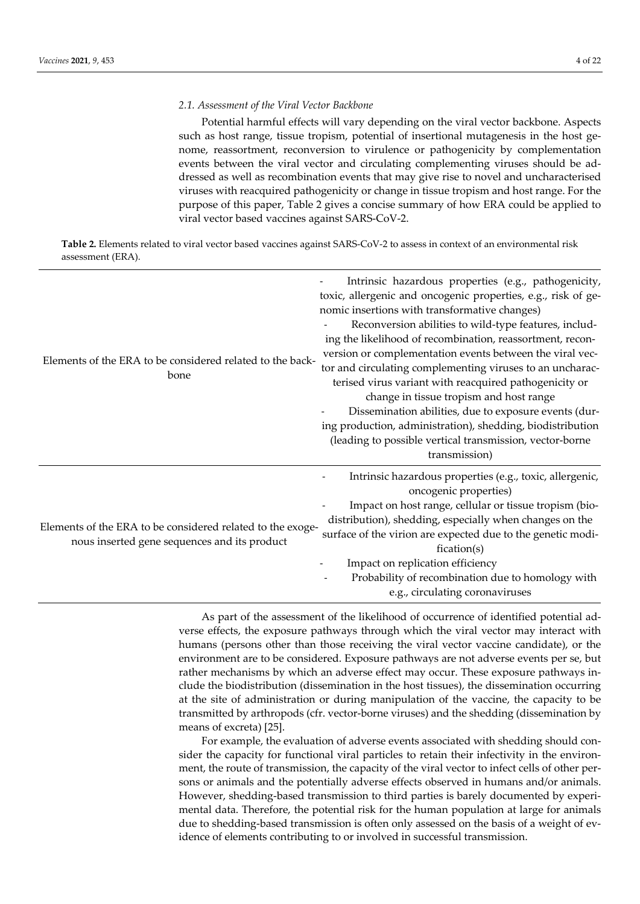### *2.1. Assessment of the Viral Vector Backbone*

Potential harmful effects will vary depending on the viral vector backbone. Aspects such as host range, tissue tropism, potential of insertional mutagenesis in the host genome, reassortment, reconversion to virulence or pathogenicity by complementation events between the viral vector and circulating complementing viruses should be addressed as well as recombination events that may give rise to novel and uncharacterised viruses with reacquired pathogenicity or change in tissue tropism and host range. For the purpose of this paper, Table 2 gives a concise summary of how ERA could be applied to viral vector based vaccines against SARS-CoV-2.

**Table 2.** Elements related to viral vector based vaccines against SARS-CoV-2 to assess in context of an environmental risk assessment (ERA).

| Elements of the ERA to be considered related to the back-<br>bone                                          | Intrinsic hazardous properties (e.g., pathogenicity,<br>toxic, allergenic and oncogenic properties, e.g., risk of ge-<br>nomic insertions with transformative changes)<br>Reconversion abilities to wild-type features, includ-<br>ing the likelihood of recombination, reassortment, recon-<br>version or complementation events between the viral vec-<br>tor and circulating complementing viruses to an uncharac-<br>terised virus variant with reacquired pathogenicity or<br>change in tissue tropism and host range<br>Dissemination abilities, due to exposure events (dur-<br>ing production, administration), shedding, biodistribution<br>(leading to possible vertical transmission, vector-borne<br>transmission) |  |  |  |
|------------------------------------------------------------------------------------------------------------|--------------------------------------------------------------------------------------------------------------------------------------------------------------------------------------------------------------------------------------------------------------------------------------------------------------------------------------------------------------------------------------------------------------------------------------------------------------------------------------------------------------------------------------------------------------------------------------------------------------------------------------------------------------------------------------------------------------------------------|--|--|--|
| Elements of the ERA to be considered related to the exoge-<br>nous inserted gene sequences and its product | Intrinsic hazardous properties (e.g., toxic, allergenic,<br>oncogenic properties)<br>Impact on host range, cellular or tissue tropism (bio-<br>distribution), shedding, especially when changes on the<br>surface of the virion are expected due to the genetic modi-<br>fication(s)<br>Impact on replication efficiency<br>Probability of recombination due to homology with<br>e.g., circulating coronaviruses                                                                                                                                                                                                                                                                                                               |  |  |  |

As part of the assessment of the likelihood of occurrence of identified potential adverse effects, the exposure pathways through which the viral vector may interact with humans (persons other than those receiving the viral vector vaccine candidate), or the environment are to be considered. Exposure pathways are not adverse events per se, but rather mechanisms by which an adverse effect may occur. These exposure pathways include the biodistribution (dissemination in the host tissues), the dissemination occurring at the site of administration or during manipulation of the vaccine, the capacity to be transmitted by arthropods (cfr. vector-borne viruses) and the shedding (dissemination by means of excreta) [25].

For example, the evaluation of adverse events associated with shedding should consider the capacity for functional viral particles to retain their infectivity in the environment, the route of transmission, the capacity of the viral vector to infect cells of other persons or animals and the potentially adverse effects observed in humans and/or animals. However, shedding-based transmission to third parties is barely documented by experimental data. Therefore, the potential risk for the human population at large for animals due to shedding-based transmission is often only assessed on the basis of a weight of evidence of elements contributing to or involved in successful transmission.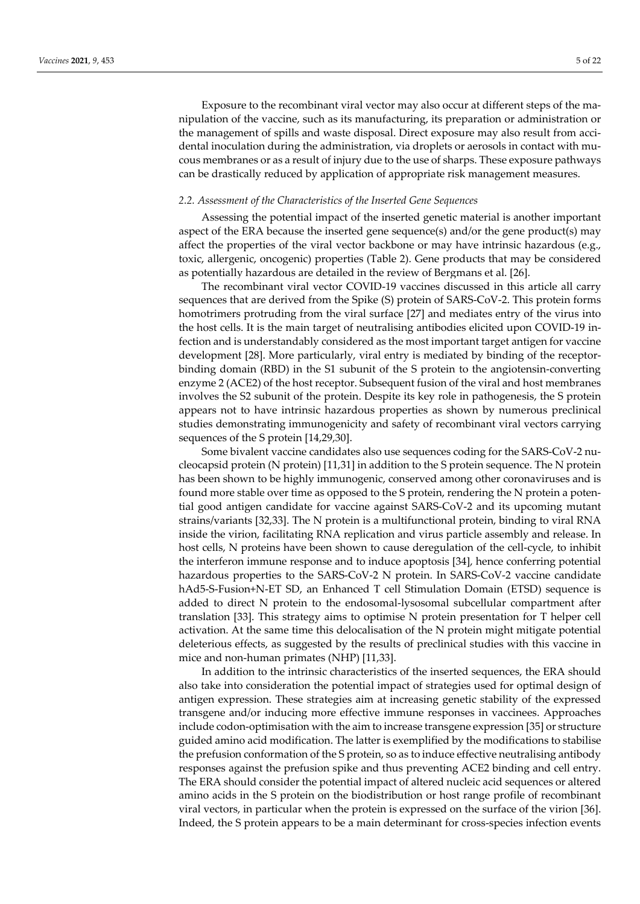Exposure to the recombinant viral vector may also occur at different steps of the manipulation of the vaccine, such as its manufacturing, its preparation or administration or the management of spills and waste disposal. Direct exposure may also result from accidental inoculation during the administration, via droplets or aerosols in contact with mucous membranes or as a result of injury due to the use of sharps. These exposure pathways can be drastically reduced by application of appropriate risk management measures.

#### *2.2. Assessment of the Characteristics of the Inserted Gene Sequences*

Assessing the potential impact of the inserted genetic material is another important aspect of the ERA because the inserted gene sequence(s) and/or the gene product(s) may affect the properties of the viral vector backbone or may have intrinsic hazardous (e.g., toxic, allergenic, oncogenic) properties (Table 2). Gene products that may be considered as potentially hazardous are detailed in the review of Bergmans et al. [26].

The recombinant viral vector COVID-19 vaccines discussed in this article all carry sequences that are derived from the Spike (S) protein of SARS-CoV-2. This protein forms homotrimers protruding from the viral surface [27] and mediates entry of the virus into the host cells. It is the main target of neutralising antibodies elicited upon COVID-19 infection and is understandably considered as the most important target antigen for vaccine development [28]. More particularly, viral entry is mediated by binding of the receptorbinding domain (RBD) in the S1 subunit of the S protein to the angiotensin-converting enzyme 2 (ACE2) of the host receptor. Subsequent fusion of the viral and host membranes involves the S2 subunit of the protein. Despite its key role in pathogenesis, the S protein appears not to have intrinsic hazardous properties as shown by numerous preclinical studies demonstrating immunogenicity and safety of recombinant viral vectors carrying sequences of the S protein [14,29,30].

Some bivalent vaccine candidates also use sequences coding for the SARS-CoV-2 nucleocapsid protein (N protein) [11,31] in addition to the S protein sequence. The N protein has been shown to be highly immunogenic, conserved among other coronaviruses and is found more stable over time as opposed to the S protein, rendering the N protein a potential good antigen candidate for vaccine against SARS-CoV-2 and its upcoming mutant strains/variants [32,33]. The N protein is a multifunctional protein, binding to viral RNA inside the virion, facilitating RNA replication and virus particle assembly and release. In host cells, N proteins have been shown to cause deregulation of the cell-cycle, to inhibit the interferon immune response and to induce apoptosis [34], hence conferring potential hazardous properties to the SARS-CoV-2 N protein. In SARS-CoV-2 vaccine candidate hAd5-S-Fusion+N-ET SD, an Enhanced T cell Stimulation Domain (ETSD) sequence is added to direct N protein to the endosomal-lysosomal subcellular compartment after translation [33]. This strategy aims to optimise N protein presentation for T helper cell activation. At the same time this delocalisation of the N protein might mitigate potential deleterious effects, as suggested by the results of preclinical studies with this vaccine in mice and non-human primates (NHP) [11,33].

In addition to the intrinsic characteristics of the inserted sequences, the ERA should also take into consideration the potential impact of strategies used for optimal design of antigen expression. These strategies aim at increasing genetic stability of the expressed transgene and/or inducing more effective immune responses in vaccinees. Approaches include codon-optimisation with the aim to increase transgene expression [35] or structure guided amino acid modification. The latter is exemplified by the modifications to stabilise the prefusion conformation of the S protein, so as to induce effective neutralising antibody responses against the prefusion spike and thus preventing ACE2 binding and cell entry. The ERA should consider the potential impact of altered nucleic acid sequences or altered amino acids in the S protein on the biodistribution or host range profile of recombinant viral vectors, in particular when the protein is expressed on the surface of the virion [36]. Indeed, the S protein appears to be a main determinant for cross-species infection events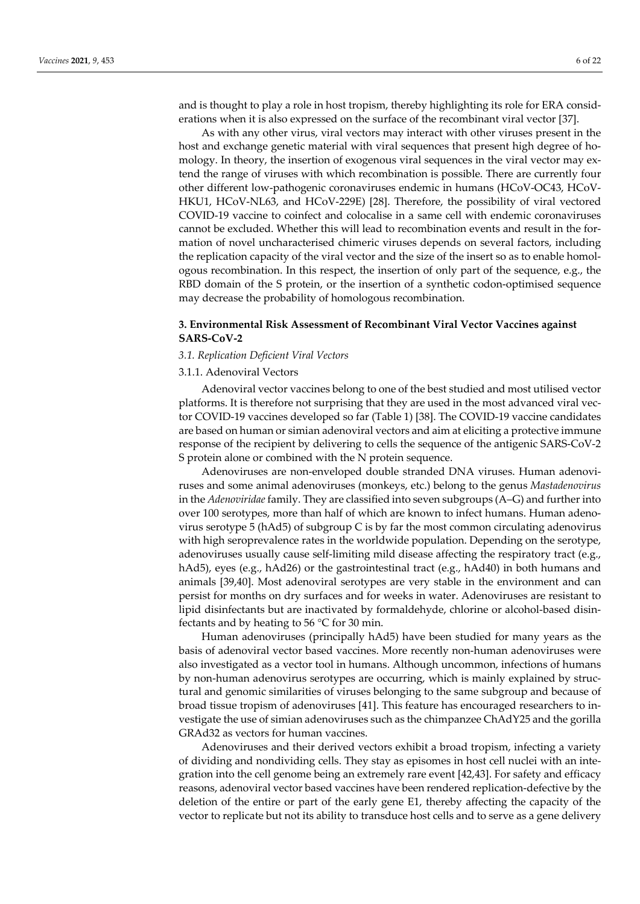and is thought to play a role in host tropism, thereby highlighting its role for ERA considerations when it is also expressed on the surface of the recombinant viral vector [37].

As with any other virus, viral vectors may interact with other viruses present in the host and exchange genetic material with viral sequences that present high degree of homology. In theory, the insertion of exogenous viral sequences in the viral vector may extend the range of viruses with which recombination is possible. There are currently four other different low-pathogenic coronaviruses endemic in humans (HCoV-OC43, HCoV-HKU1, HCoV-NL63, and HCoV-229E) [28]. Therefore, the possibility of viral vectored COVID-19 vaccine to coinfect and colocalise in a same cell with endemic coronaviruses cannot be excluded. Whether this will lead to recombination events and result in the formation of novel uncharacterised chimeric viruses depends on several factors, including the replication capacity of the viral vector and the size of the insert so as to enable homologous recombination. In this respect, the insertion of only part of the sequence, e.g., the RBD domain of the S protein, or the insertion of a synthetic codon-optimised sequence may decrease the probability of homologous recombination.

# **3. Environmental Risk Assessment of Recombinant Viral Vector Vaccines against SARS-CoV-2**

## *3.1. Replication Deficient Viral Vectors*

# 3.1.1. Adenoviral Vectors

Adenoviral vector vaccines belong to one of the best studied and most utilised vector platforms. It is therefore not surprising that they are used in the most advanced viral vector COVID-19 vaccines developed so far (Table 1) [38]. The COVID-19 vaccine candidates are based on human or simian adenoviral vectors and aim at eliciting a protective immune response of the recipient by delivering to cells the sequence of the antigenic SARS-CoV-2 S protein alone or combined with the N protein sequence.

Adenoviruses are non-enveloped double stranded DNA viruses. Human adenoviruses and some animal adenoviruses (monkeys, etc.) belong to the genus *Mastadenovirus* in the *Adenoviridae* family. They are classified into seven subgroups (A–G) and further into over 100 serotypes, more than half of which are known to infect humans. Human adenovirus serotype 5 (hAd5) of subgroup C is by far the most common circulating adenovirus with high seroprevalence rates in the worldwide population. Depending on the serotype, adenoviruses usually cause self-limiting mild disease affecting the respiratory tract (e.g., hAd5), eyes (e.g., hAd26) or the gastrointestinal tract (e.g., hAd40) in both humans and animals [39,40]. Most adenoviral serotypes are very stable in the environment and can persist for months on dry surfaces and for weeks in water. Adenoviruses are resistant to lipid disinfectants but are inactivated by formaldehyde, chlorine or alcohol-based disinfectants and by heating to 56 °C for 30 min.

Human adenoviruses (principally hAd5) have been studied for many years as the basis of adenoviral vector based vaccines. More recently non-human adenoviruses were also investigated as a vector tool in humans. Although uncommon, infections of humans by non-human adenovirus serotypes are occurring, which is mainly explained by structural and genomic similarities of viruses belonging to the same subgroup and because of broad tissue tropism of adenoviruses [41]. This feature has encouraged researchers to investigate the use of simian adenoviruses such as the chimpanzee ChAdY25 and the gorilla GRAd32 as vectors for human vaccines.

Adenoviruses and their derived vectors exhibit a broad tropism, infecting a variety of dividing and nondividing cells. They stay as episomes in host cell nuclei with an integration into the cell genome being an extremely rare event [42,43]. For safety and efficacy reasons, adenoviral vector based vaccines have been rendered replication-defective by the deletion of the entire or part of the early gene E1, thereby affecting the capacity of the vector to replicate but not its ability to transduce host cells and to serve as a gene delivery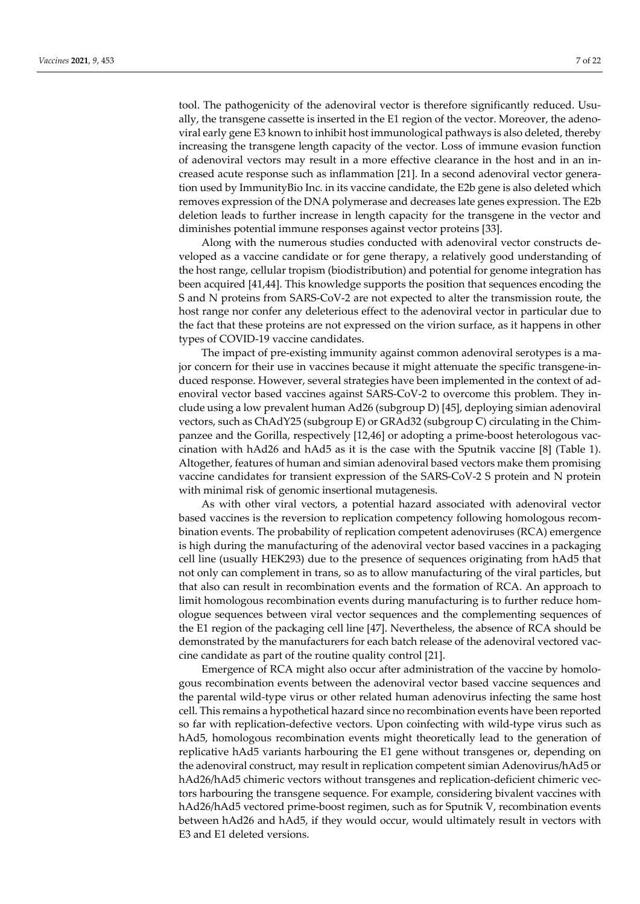tool. The pathogenicity of the adenoviral vector is therefore significantly reduced. Usually, the transgene cassette is inserted in the E1 region of the vector. Moreover, the adenoviral early gene E3 known to inhibit host immunological pathways is also deleted, thereby increasing the transgene length capacity of the vector. Loss of immune evasion function of adenoviral vectors may result in a more effective clearance in the host and in an increased acute response such as inflammation [21]. In a second adenoviral vector generation used by ImmunityBio Inc. in its vaccine candidate, the E2b gene is also deleted which removes expression of the DNA polymerase and decreases late genes expression. The E2b deletion leads to further increase in length capacity for the transgene in the vector and diminishes potential immune responses against vector proteins [33].

Along with the numerous studies conducted with adenoviral vector constructs developed as a vaccine candidate or for gene therapy, a relatively good understanding of the host range, cellular tropism (biodistribution) and potential for genome integration has been acquired [41,44]. This knowledge supports the position that sequences encoding the S and N proteins from SARS-CoV-2 are not expected to alter the transmission route, the host range nor confer any deleterious effect to the adenoviral vector in particular due to the fact that these proteins are not expressed on the virion surface, as it happens in other types of COVID-19 vaccine candidates.

The impact of pre-existing immunity against common adenoviral serotypes is a major concern for their use in vaccines because it might attenuate the specific transgene-induced response. However, several strategies have been implemented in the context of adenoviral vector based vaccines against SARS-CoV-2 to overcome this problem. They include using a low prevalent human Ad26 (subgroup D) [45], deploying simian adenoviral vectors, such as ChAdY25 (subgroup E) or GRAd32 (subgroup C) circulating in the Chimpanzee and the Gorilla, respectively [12,46] or adopting a prime-boost heterologous vaccination with hAd26 and hAd5 as it is the case with the Sputnik vaccine [8] (Table 1). Altogether, features of human and simian adenoviral based vectors make them promising vaccine candidates for transient expression of the SARS-CoV-2 S protein and N protein with minimal risk of genomic insertional mutagenesis.

As with other viral vectors, a potential hazard associated with adenoviral vector based vaccines is the reversion to replication competency following homologous recombination events. The probability of replication competent adenoviruses (RCA) emergence is high during the manufacturing of the adenoviral vector based vaccines in a packaging cell line (usually HEK293) due to the presence of sequences originating from hAd5 that not only can complement in trans, so as to allow manufacturing of the viral particles, but that also can result in recombination events and the formation of RCA. An approach to limit homologous recombination events during manufacturing is to further reduce homologue sequences between viral vector sequences and the complementing sequences of the E1 region of the packaging cell line [47]. Nevertheless, the absence of RCA should be demonstrated by the manufacturers for each batch release of the adenoviral vectored vaccine candidate as part of the routine quality control [21].

Emergence of RCA might also occur after administration of the vaccine by homologous recombination events between the adenoviral vector based vaccine sequences and the parental wild-type virus or other related human adenovirus infecting the same host cell. This remains a hypothetical hazard since no recombination events have been reported so far with replication-defective vectors. Upon coinfecting with wild-type virus such as hAd5, homologous recombination events might theoretically lead to the generation of replicative hAd5 variants harbouring the E1 gene without transgenes or, depending on the adenoviral construct, may result in replication competent simian Adenovirus/hAd5 or hAd26/hAd5 chimeric vectors without transgenes and replication-deficient chimeric vectors harbouring the transgene sequence. For example, considering bivalent vaccines with hAd26/hAd5 vectored prime-boost regimen, such as for Sputnik V, recombination events between hAd26 and hAd5, if they would occur, would ultimately result in vectors with E3 and E1 deleted versions.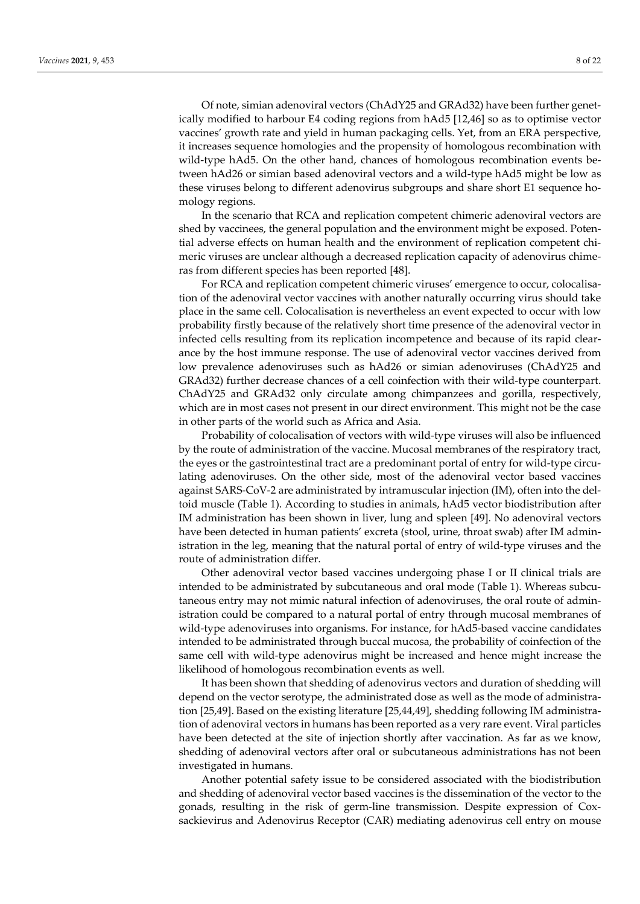Of note, simian adenoviral vectors (ChAdY25 and GRAd32) have been further genetically modified to harbour E4 coding regions from hAd5 [12,46] so as to optimise vector vaccines' growth rate and yield in human packaging cells. Yet, from an ERA perspective, it increases sequence homologies and the propensity of homologous recombination with wild-type hAd5. On the other hand, chances of homologous recombination events between hAd26 or simian based adenoviral vectors and a wild-type hAd5 might be low as these viruses belong to different adenovirus subgroups and share short E1 sequence homology regions.

In the scenario that RCA and replication competent chimeric adenoviral vectors are shed by vaccinees, the general population and the environment might be exposed. Potential adverse effects on human health and the environment of replication competent chimeric viruses are unclear although a decreased replication capacity of adenovirus chimeras from different species has been reported [48].

For RCA and replication competent chimeric viruses' emergence to occur, colocalisation of the adenoviral vector vaccines with another naturally occurring virus should take place in the same cell. Colocalisation is nevertheless an event expected to occur with low probability firstly because of the relatively short time presence of the adenoviral vector in infected cells resulting from its replication incompetence and because of its rapid clearance by the host immune response. The use of adenoviral vector vaccines derived from low prevalence adenoviruses such as hAd26 or simian adenoviruses (ChAdY25 and GRAd32) further decrease chances of a cell coinfection with their wild-type counterpart. ChAdY25 and GRAd32 only circulate among chimpanzees and gorilla, respectively, which are in most cases not present in our direct environment. This might not be the case in other parts of the world such as Africa and Asia.

Probability of colocalisation of vectors with wild-type viruses will also be influenced by the route of administration of the vaccine. Mucosal membranes of the respiratory tract, the eyes or the gastrointestinal tract are a predominant portal of entry for wild-type circulating adenoviruses. On the other side, most of the adenoviral vector based vaccines against SARS-CoV-2 are administrated by intramuscular injection (IM), often into the deltoid muscle (Table 1). According to studies in animals, hAd5 vector biodistribution after IM administration has been shown in liver, lung and spleen [49]. No adenoviral vectors have been detected in human patients' excreta (stool, urine, throat swab) after IM administration in the leg, meaning that the natural portal of entry of wild-type viruses and the route of administration differ.

Other adenoviral vector based vaccines undergoing phase I or II clinical trials are intended to be administrated by subcutaneous and oral mode (Table 1). Whereas subcutaneous entry may not mimic natural infection of adenoviruses, the oral route of administration could be compared to a natural portal of entry through mucosal membranes of wild-type adenoviruses into organisms. For instance, for hAd5-based vaccine candidates intended to be administrated through buccal mucosa, the probability of coinfection of the same cell with wild-type adenovirus might be increased and hence might increase the likelihood of homologous recombination events as well.

It has been shown that shedding of adenovirus vectors and duration of shedding will depend on the vector serotype, the administrated dose as well as the mode of administration [25,49]. Based on the existing literature [25,44,49], shedding following IM administration of adenoviral vectors in humans has been reported as a very rare event. Viral particles have been detected at the site of injection shortly after vaccination. As far as we know, shedding of adenoviral vectors after oral or subcutaneous administrations has not been investigated in humans.

Another potential safety issue to be considered associated with the biodistribution and shedding of adenoviral vector based vaccines is the dissemination of the vector to the gonads, resulting in the risk of germ-line transmission. Despite expression of Coxsackievirus and Adenovirus Receptor (CAR) mediating adenovirus cell entry on mouse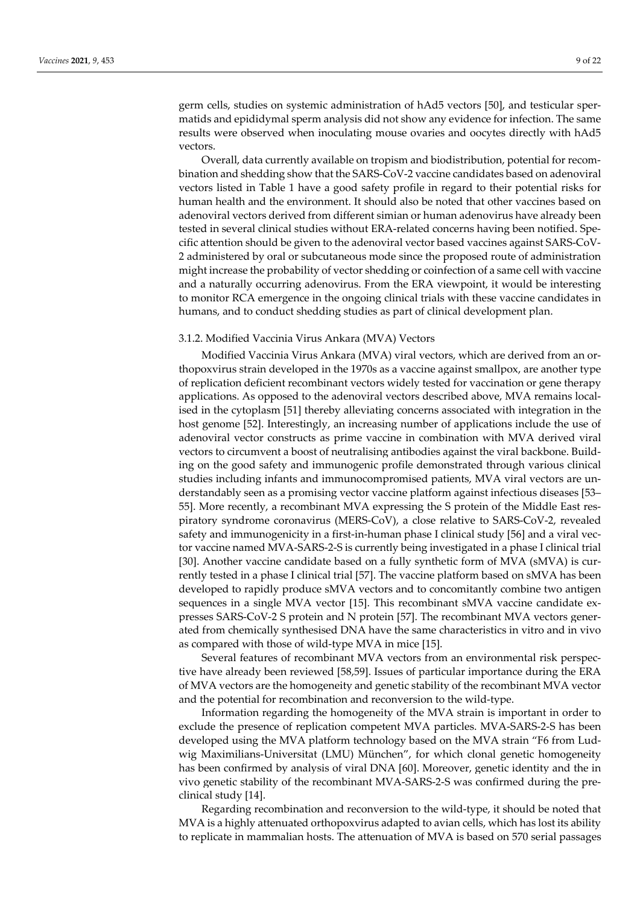germ cells, studies on systemic administration of hAd5 vectors [50], and testicular spermatids and epididymal sperm analysis did not show any evidence for infection. The same results were observed when inoculating mouse ovaries and oocytes directly with hAd5 vectors.

Overall, data currently available on tropism and biodistribution, potential for recombination and shedding show that the SARS-CoV-2 vaccine candidates based on adenoviral vectors listed in Table 1 have a good safety profile in regard to their potential risks for human health and the environment. It should also be noted that other vaccines based on adenoviral vectors derived from different simian or human adenovirus have already been tested in several clinical studies without ERA-related concerns having been notified. Specific attention should be given to the adenoviral vector based vaccines against SARS-CoV-2 administered by oral or subcutaneous mode since the proposed route of administration might increase the probability of vector shedding or coinfection of a same cell with vaccine and a naturally occurring adenovirus. From the ERA viewpoint, it would be interesting to monitor RCA emergence in the ongoing clinical trials with these vaccine candidates in humans, and to conduct shedding studies as part of clinical development plan.

## 3.1.2. Modified Vaccinia Virus Ankara (MVA) Vectors

Modified Vaccinia Virus Ankara (MVA) viral vectors, which are derived from an orthopoxvirus strain developed in the 1970s as a vaccine against smallpox, are another type of replication deficient recombinant vectors widely tested for vaccination or gene therapy applications. As opposed to the adenoviral vectors described above, MVA remains localised in the cytoplasm [51] thereby alleviating concerns associated with integration in the host genome [52]. Interestingly, an increasing number of applications include the use of adenoviral vector constructs as prime vaccine in combination with MVA derived viral vectors to circumvent a boost of neutralising antibodies against the viral backbone. Building on the good safety and immunogenic profile demonstrated through various clinical studies including infants and immunocompromised patients, MVA viral vectors are understandably seen as a promising vector vaccine platform against infectious diseases [53– 55]. More recently, a recombinant MVA expressing the S protein of the Middle East respiratory syndrome coronavirus (MERS-CoV), a close relative to SARS-CoV-2, revealed safety and immunogenicity in a first-in-human phase I clinical study [56] and a viral vector vaccine named MVA-SARS-2-S is currently being investigated in a phase I clinical trial [30]. Another vaccine candidate based on a fully synthetic form of MVA (sMVA) is currently tested in a phase I clinical trial [57]. The vaccine platform based on sMVA has been developed to rapidly produce sMVA vectors and to concomitantly combine two antigen sequences in a single MVA vector [15]. This recombinant sMVA vaccine candidate expresses SARS-CoV-2 S protein and N protein [57]. The recombinant MVA vectors generated from chemically synthesised DNA have the same characteristics in vitro and in vivo as compared with those of wild-type MVA in mice [15].

Several features of recombinant MVA vectors from an environmental risk perspective have already been reviewed [58,59]. Issues of particular importance during the ERA of MVA vectors are the homogeneity and genetic stability of the recombinant MVA vector and the potential for recombination and reconversion to the wild-type.

Information regarding the homogeneity of the MVA strain is important in order to exclude the presence of replication competent MVA particles. MVA-SARS-2-S has been developed using the MVA platform technology based on the MVA strain "F6 from Ludwig Maximilians-Universitat (LMU) München", for which clonal genetic homogeneity has been confirmed by analysis of viral DNA [60]. Moreover, genetic identity and the in vivo genetic stability of the recombinant MVA-SARS-2-S was confirmed during the preclinical study [14].

Regarding recombination and reconversion to the wild-type, it should be noted that MVA is a highly attenuated orthopoxvirus adapted to avian cells, which has lost its ability to replicate in mammalian hosts. The attenuation of MVA is based on 570 serial passages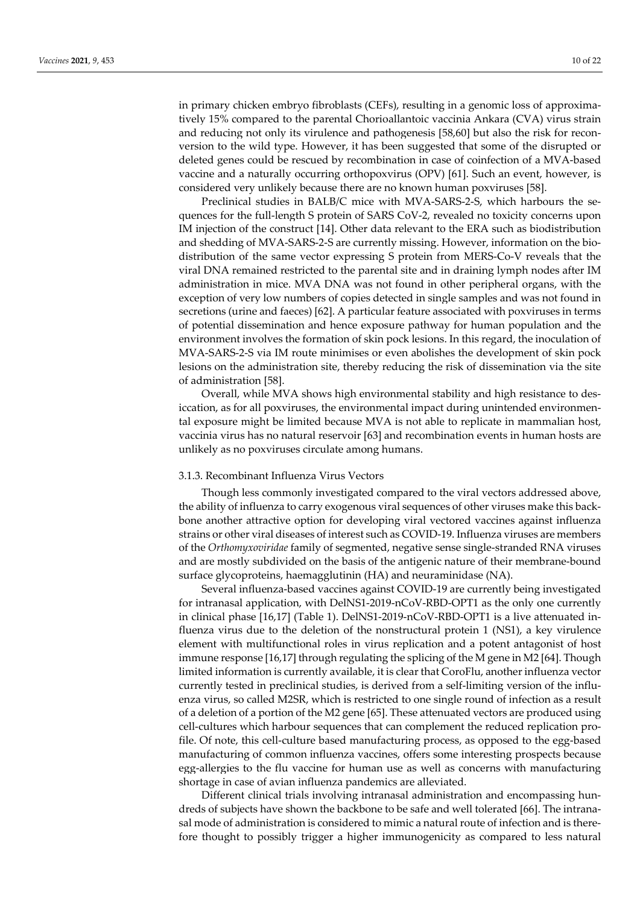in primary chicken embryo fibroblasts (CEFs), resulting in a genomic loss of approximatively 15% compared to the parental Chorioallantoic vaccinia Ankara (CVA) virus strain and reducing not only its virulence and pathogenesis [58,60] but also the risk for reconversion to the wild type. However, it has been suggested that some of the disrupted or deleted genes could be rescued by recombination in case of coinfection of a MVA-based vaccine and a naturally occurring orthopoxvirus (OPV) [61]. Such an event, however, is considered very unlikely because there are no known human poxviruses [58].

Preclinical studies in BALB/C mice with MVA-SARS-2-S, which harbours the sequences for the full-length S protein of SARS CoV-2, revealed no toxicity concerns upon IM injection of the construct [14]. Other data relevant to the ERA such as biodistribution and shedding of MVA-SARS-2-S are currently missing. However, information on the biodistribution of the same vector expressing S protein from MERS-Co-V reveals that the viral DNA remained restricted to the parental site and in draining lymph nodes after IM administration in mice. MVA DNA was not found in other peripheral organs, with the exception of very low numbers of copies detected in single samples and was not found in secretions (urine and faeces) [62]. A particular feature associated with poxviruses in terms of potential dissemination and hence exposure pathway for human population and the environment involves the formation of skin pock lesions. In this regard, the inoculation of MVA-SARS-2-S via IM route minimises or even abolishes the development of skin pock lesions on the administration site, thereby reducing the risk of dissemination via the site of administration [58].

Overall, while MVA shows high environmental stability and high resistance to desiccation, as for all poxviruses, the environmental impact during unintended environmental exposure might be limited because MVA is not able to replicate in mammalian host, vaccinia virus has no natural reservoir [63] and recombination events in human hosts are unlikely as no poxviruses circulate among humans.

### 3.1.3. Recombinant Influenza Virus Vectors

Though less commonly investigated compared to the viral vectors addressed above, the ability of influenza to carry exogenous viral sequences of other viruses make this backbone another attractive option for developing viral vectored vaccines against influenza strains or other viral diseases of interest such as COVID-19. Influenza viruses are members of the *Orthomyxoviridae* family of segmented, negative sense single-stranded RNA viruses and are mostly subdivided on the basis of the antigenic nature of their membrane-bound surface glycoproteins, haemagglutinin (HA) and neuraminidase (NA).

Several influenza-based vaccines against COVID-19 are currently being investigated for intranasal application, with DelNS1-2019-nCoV-RBD-OPT1 as the only one currently in clinical phase [16,17] (Table 1). DelNS1-2019-nCoV-RBD-OPT1 is a live attenuated influenza virus due to the deletion of the nonstructural protein 1 (NS1), a key virulence element with multifunctional roles in virus replication and a potent antagonist of host immune response [16,17] through regulating the splicing of the M gene in M2 [64]. Though limited information is currently available, it is clear that CoroFlu, another influenza vector currently tested in preclinical studies, is derived from a self-limiting version of the influenza virus, so called M2SR, which is restricted to one single round of infection as a result of a deletion of a portion of the M2 gene [65]. These attenuated vectors are produced using cell-cultures which harbour sequences that can complement the reduced replication profile. Of note, this cell-culture based manufacturing process, as opposed to the egg-based manufacturing of common influenza vaccines, offers some interesting prospects because egg-allergies to the flu vaccine for human use as well as concerns with manufacturing shortage in case of avian influenza pandemics are alleviated.

Different clinical trials involving intranasal administration and encompassing hundreds of subjects have shown the backbone to be safe and well tolerated [66]. The intranasal mode of administration is considered to mimic a natural route of infection and is therefore thought to possibly trigger a higher immunogenicity as compared to less natural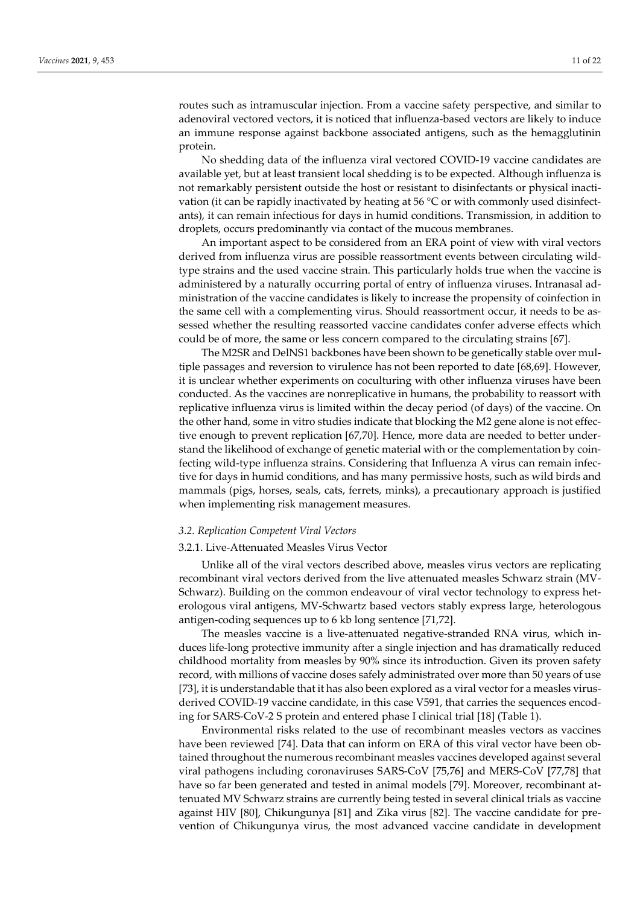routes such as intramuscular injection. From a vaccine safety perspective, and similar to adenoviral vectored vectors, it is noticed that influenza-based vectors are likely to induce an immune response against backbone associated antigens, such as the hemagglutinin protein.

No shedding data of the influenza viral vectored COVID-19 vaccine candidates are available yet, but at least transient local shedding is to be expected. Although influenza is not remarkably persistent outside the host or resistant to disinfectants or physical inactivation (it can be rapidly inactivated by heating at 56 °C or with commonly used disinfectants), it can remain infectious for days in humid conditions. Transmission, in addition to droplets, occurs predominantly via contact of the mucous membranes.

An important aspect to be considered from an ERA point of view with viral vectors derived from influenza virus are possible reassortment events between circulating wildtype strains and the used vaccine strain. This particularly holds true when the vaccine is administered by a naturally occurring portal of entry of influenza viruses. Intranasal administration of the vaccine candidates is likely to increase the propensity of coinfection in the same cell with a complementing virus. Should reassortment occur, it needs to be assessed whether the resulting reassorted vaccine candidates confer adverse effects which could be of more, the same or less concern compared to the circulating strains [67].

The M2SR and DelNS1 backbones have been shown to be genetically stable over multiple passages and reversion to virulence has not been reported to date [68,69]. However, it is unclear whether experiments on coculturing with other influenza viruses have been conducted. As the vaccines are nonreplicative in humans, the probability to reassort with replicative influenza virus is limited within the decay period (of days) of the vaccine. On the other hand, some in vitro studies indicate that blocking the M2 gene alone is not effective enough to prevent replication [67,70]. Hence, more data are needed to better understand the likelihood of exchange of genetic material with or the complementation by coinfecting wild-type influenza strains. Considering that Influenza A virus can remain infective for days in humid conditions, and has many permissive hosts, such as wild birds and mammals (pigs, horses, seals, cats, ferrets, minks), a precautionary approach is justified when implementing risk management measures.

#### *3.2. Replication Competent Viral Vectors*

## 3.2.1. Live-Attenuated Measles Virus Vector

Unlike all of the viral vectors described above, measles virus vectors are replicating recombinant viral vectors derived from the live attenuated measles Schwarz strain (MV-Schwarz). Building on the common endeavour of viral vector technology to express heterologous viral antigens, MV-Schwartz based vectors stably express large, heterologous antigen-coding sequences up to 6 kb long sentence [71,72].

The measles vaccine is a live-attenuated negative-stranded RNA virus, which induces life-long protective immunity after a single injection and has dramatically reduced childhood mortality from measles by 90% since its introduction. Given its proven safety record, with millions of vaccine doses safely administrated over more than 50 years of use [73], it is understandable that it has also been explored as a viral vector for a measles virusderived COVID-19 vaccine candidate, in this case V591, that carries the sequences encoding for SARS-CoV-2 S protein and entered phase I clinical trial [18] (Table 1).

Environmental risks related to the use of recombinant measles vectors as vaccines have been reviewed [74]. Data that can inform on ERA of this viral vector have been obtained throughout the numerous recombinant measles vaccines developed against several viral pathogens including coronaviruses SARS-CoV [75,76] and MERS-CoV [77,78] that have so far been generated and tested in animal models [79]. Moreover, recombinant attenuated MV Schwarz strains are currently being tested in several clinical trials as vaccine against HIV [80], Chikungunya [81] and Zika virus [82]. The vaccine candidate for prevention of Chikungunya virus, the most advanced vaccine candidate in development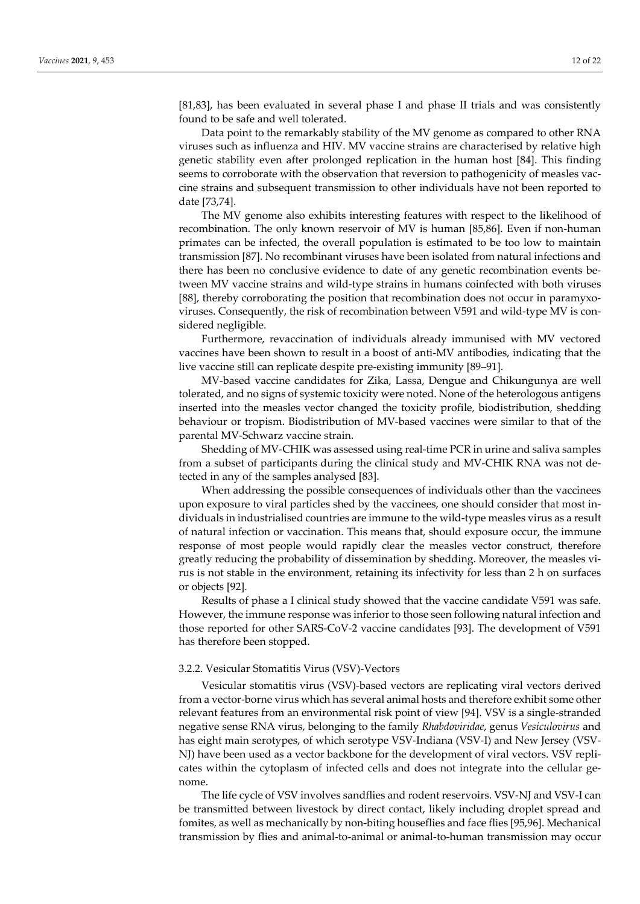[81,83], has been evaluated in several phase I and phase II trials and was consistently found to be safe and well tolerated.

Data point to the remarkably stability of the MV genome as compared to other RNA viruses such as influenza and HIV. MV vaccine strains are characterised by relative high genetic stability even after prolonged replication in the human host [84]. This finding seems to corroborate with the observation that reversion to pathogenicity of measles vaccine strains and subsequent transmission to other individuals have not been reported to date [73,74].

The MV genome also exhibits interesting features with respect to the likelihood of recombination. The only known reservoir of MV is human [85,86]. Even if non-human primates can be infected, the overall population is estimated to be too low to maintain transmission [87]. No recombinant viruses have been isolated from natural infections and there has been no conclusive evidence to date of any genetic recombination events between MV vaccine strains and wild-type strains in humans coinfected with both viruses [88], thereby corroborating the position that recombination does not occur in paramyxoviruses. Consequently, the risk of recombination between V591 and wild-type MV is considered negligible.

Furthermore, revaccination of individuals already immunised with MV vectored vaccines have been shown to result in a boost of anti-MV antibodies, indicating that the live vaccine still can replicate despite pre-existing immunity [89–91].

MV-based vaccine candidates for Zika, Lassa, Dengue and Chikungunya are well tolerated, and no signs of systemic toxicity were noted. None of the heterologous antigens inserted into the measles vector changed the toxicity profile, biodistribution, shedding behaviour or tropism. Biodistribution of MV-based vaccines were similar to that of the parental MV-Schwarz vaccine strain.

Shedding of MV-CHIK was assessed using real-time PCR in urine and saliva samples from a subset of participants during the clinical study and MV-CHIK RNA was not detected in any of the samples analysed [83].

When addressing the possible consequences of individuals other than the vaccinees upon exposure to viral particles shed by the vaccinees, one should consider that most individuals in industrialised countries are immune to the wild-type measles virus as a result of natural infection or vaccination. This means that, should exposure occur, the immune response of most people would rapidly clear the measles vector construct, therefore greatly reducing the probability of dissemination by shedding. Moreover, the measles virus is not stable in the environment, retaining its infectivity for less than 2 h on surfaces or objects [92].

Results of phase a I clinical study showed that the vaccine candidate V591 was safe. However, the immune response was inferior to those seen following natural infection and those reported for other SARS-CoV-2 vaccine candidates [93]. The development of V591 has therefore been stopped.

### 3.2.2. Vesicular Stomatitis Virus (VSV)-Vectors

Vesicular stomatitis virus (VSV)-based vectors are replicating viral vectors derived from a vector-borne virus which has several animal hosts and therefore exhibit some other relevant features from an environmental risk point of view [94]. VSV is a single-stranded negative sense RNA virus, belonging to the family *Rhabdoviridae*, genus *Vesiculovirus* and has eight main serotypes, of which serotype VSV-Indiana (VSV-I) and New Jersey (VSV-NJ) have been used as a vector backbone for the development of viral vectors. VSV replicates within the cytoplasm of infected cells and does not integrate into the cellular genome.

The life cycle of VSV involves sandflies and rodent reservoirs. VSV-NJ and VSV-I can be transmitted between livestock by direct contact, likely including droplet spread and fomites, as well as mechanically by non-biting houseflies and face flies [95,96]. Mechanical transmission by flies and animal-to-animal or animal-to-human transmission may occur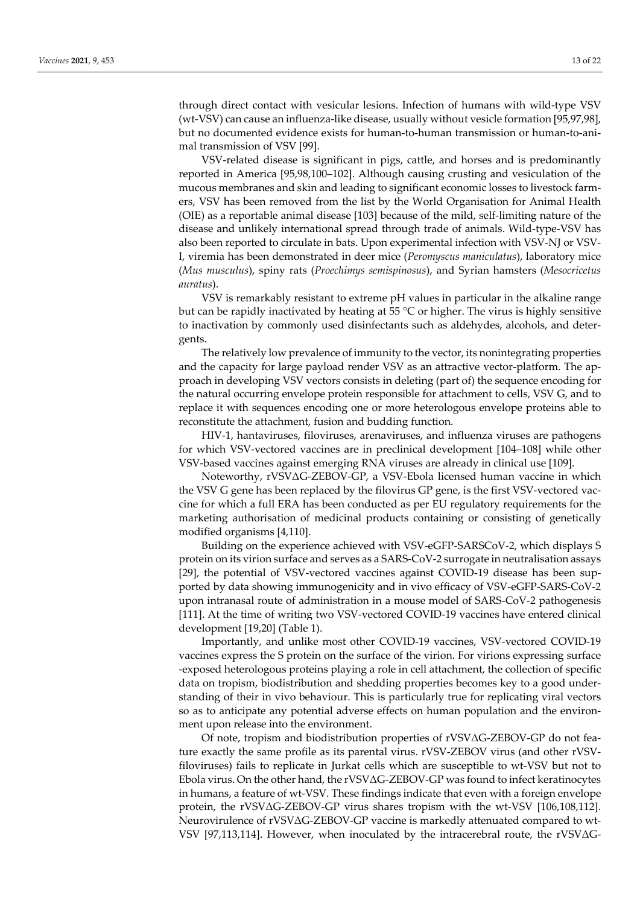through direct contact with vesicular lesions. Infection of humans with wild-type VSV (wt-VSV) can cause an influenza-like disease, usually without vesicle formation [95,97,98], but no documented evidence exists for human-to-human transmission or human-to-animal transmission of VSV [99].

VSV-related disease is significant in pigs, cattle, and horses and is predominantly reported in America [95,98,100–102]. Although causing crusting and vesiculation of the mucous membranes and skin and leading to significant economic losses to livestock farmers, VSV has been removed from the list by the World Organisation for Animal Health (OIE) as a reportable animal disease [103] because of the mild, self-limiting nature of the disease and unlikely international spread through trade of animals. Wild-type-VSV has also been reported to circulate in bats. Upon experimental infection with VSV-NJ or VSV-I, viremia has been demonstrated in deer mice (*Peromyscus maniculatus*), laboratory mice (*Mus musculus*), spiny rats (*Proechimys semispinosus*), and Syrian hamsters (*Mesocricetus auratus*).

VSV is remarkably resistant to extreme pH values in particular in the alkaline range but can be rapidly inactivated by heating at 55  $\degree$ C or higher. The virus is highly sensitive to inactivation by commonly used disinfectants such as aldehydes, alcohols, and detergents.

The relatively low prevalence of immunity to the vector, its nonintegrating properties and the capacity for large payload render VSV as an attractive vector-platform. The approach in developing VSV vectors consists in deleting (part of) the sequence encoding for the natural occurring envelope protein responsible for attachment to cells, VSV G, and to replace it with sequences encoding one or more heterologous envelope proteins able to reconstitute the attachment, fusion and budding function.

HIV-1, hantaviruses, filoviruses, arenaviruses, and influenza viruses are pathogens for which VSV-vectored vaccines are in preclinical development [104–108] while other VSV-based vaccines against emerging RNA viruses are already in clinical use [109].

Noteworthy, rVSVΔG-ZEBOV-GP, a VSV-Ebola licensed human vaccine in which the VSV G gene has been replaced by the filovirus GP gene, is the first VSV-vectored vaccine for which a full ERA has been conducted as per EU regulatory requirements for the marketing authorisation of medicinal products containing or consisting of genetically modified organisms [4,110].

Building on the experience achieved with VSV-eGFP-SARSCoV-2, which displays S protein on its virion surface and serves as a SARS-CoV-2 surrogate in neutralisation assays [29], the potential of VSV-vectored vaccines against COVID-19 disease has been supported by data showing immunogenicity and in vivo efficacy of VSV-eGFP-SARS-CoV-2 upon intranasal route of administration in a mouse model of SARS-CoV-2 pathogenesis [111]. At the time of writing two VSV-vectored COVID-19 vaccines have entered clinical development [19,20] (Table 1).

Importantly, and unlike most other COVID-19 vaccines, VSV-vectored COVID-19 vaccines express the S protein on the surface of the virion. For virions expressing surface -exposed heterologous proteins playing a role in cell attachment, the collection of specific data on tropism, biodistribution and shedding properties becomes key to a good understanding of their in vivo behaviour. This is particularly true for replicating viral vectors so as to anticipate any potential adverse effects on human population and the environment upon release into the environment.

Of note, tropism and biodistribution properties of rVSVΔG-ZEBOV-GP do not feature exactly the same profile as its parental virus. rVSV-ZEBOV virus (and other rVSVfiloviruses) fails to replicate in Jurkat cells which are susceptible to wt-VSV but not to Ebola virus. On the other hand, the rVSVΔG-ZEBOV-GP was found to infect keratinocytes in humans, a feature of wt-VSV. These findings indicate that even with a foreign envelope protein, the rVSVΔG-ZEBOV-GP virus shares tropism with the wt-VSV [106,108,112]. Neurovirulence of rVSVΔG-ZEBOV-GP vaccine is markedly attenuated compared to wt-VSV [97,113,114]. However, when inoculated by the intracerebral route, the rVSVΔG-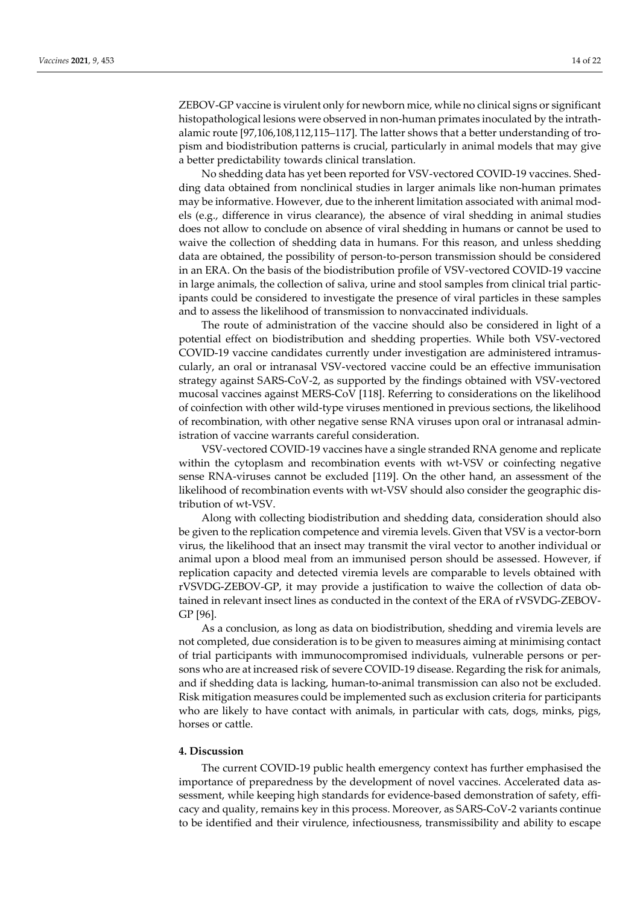ZEBOV-GP vaccine is virulent only for newborn mice, while no clinical signs or significant histopathological lesions were observed in non-human primates inoculated by the intrathalamic route [97,106,108,112,115–117]. The latter shows that a better understanding of tropism and biodistribution patterns is crucial, particularly in animal models that may give a better predictability towards clinical translation.

No shedding data has yet been reported for VSV-vectored COVID-19 vaccines. Shedding data obtained from nonclinical studies in larger animals like non-human primates may be informative. However, due to the inherent limitation associated with animal models (e.g., difference in virus clearance), the absence of viral shedding in animal studies does not allow to conclude on absence of viral shedding in humans or cannot be used to waive the collection of shedding data in humans. For this reason, and unless shedding data are obtained, the possibility of person-to-person transmission should be considered in an ERA. On the basis of the biodistribution profile of VSV-vectored COVID-19 vaccine in large animals, the collection of saliva, urine and stool samples from clinical trial participants could be considered to investigate the presence of viral particles in these samples and to assess the likelihood of transmission to nonvaccinated individuals.

The route of administration of the vaccine should also be considered in light of a potential effect on biodistribution and shedding properties. While both VSV-vectored COVID-19 vaccine candidates currently under investigation are administered intramuscularly, an oral or intranasal VSV-vectored vaccine could be an effective immunisation strategy against SARS-CoV-2, as supported by the findings obtained with VSV-vectored mucosal vaccines against MERS-CoV [118]. Referring to considerations on the likelihood of coinfection with other wild-type viruses mentioned in previous sections, the likelihood of recombination, with other negative sense RNA viruses upon oral or intranasal administration of vaccine warrants careful consideration.

VSV-vectored COVID-19 vaccines have a single stranded RNA genome and replicate within the cytoplasm and recombination events with wt-VSV or coinfecting negative sense RNA-viruses cannot be excluded [119]. On the other hand, an assessment of the likelihood of recombination events with wt-VSV should also consider the geographic distribution of wt-VSV.

Along with collecting biodistribution and shedding data, consideration should also be given to the replication competence and viremia levels. Given that VSV is a vector-born virus, the likelihood that an insect may transmit the viral vector to another individual or animal upon a blood meal from an immunised person should be assessed. However, if replication capacity and detected viremia levels are comparable to levels obtained with rVSVDG-ZEBOV-GP, it may provide a justification to waive the collection of data obtained in relevant insect lines as conducted in the context of the ERA of rVSVDG-ZEBOV-GP [96].

As a conclusion, as long as data on biodistribution, shedding and viremia levels are not completed, due consideration is to be given to measures aiming at minimising contact of trial participants with immunocompromised individuals, vulnerable persons or persons who are at increased risk of severe COVID-19 disease. Regarding the risk for animals, and if shedding data is lacking, human-to-animal transmission can also not be excluded. Risk mitigation measures could be implemented such as exclusion criteria for participants who are likely to have contact with animals, in particular with cats, dogs, minks, pigs, horses or cattle.

### **4. Discussion**

The current COVID-19 public health emergency context has further emphasised the importance of preparedness by the development of novel vaccines. Accelerated data assessment, while keeping high standards for evidence-based demonstration of safety, efficacy and quality, remains key in this process. Moreover, as SARS-CoV-2 variants continue to be identified and their virulence, infectiousness, transmissibility and ability to escape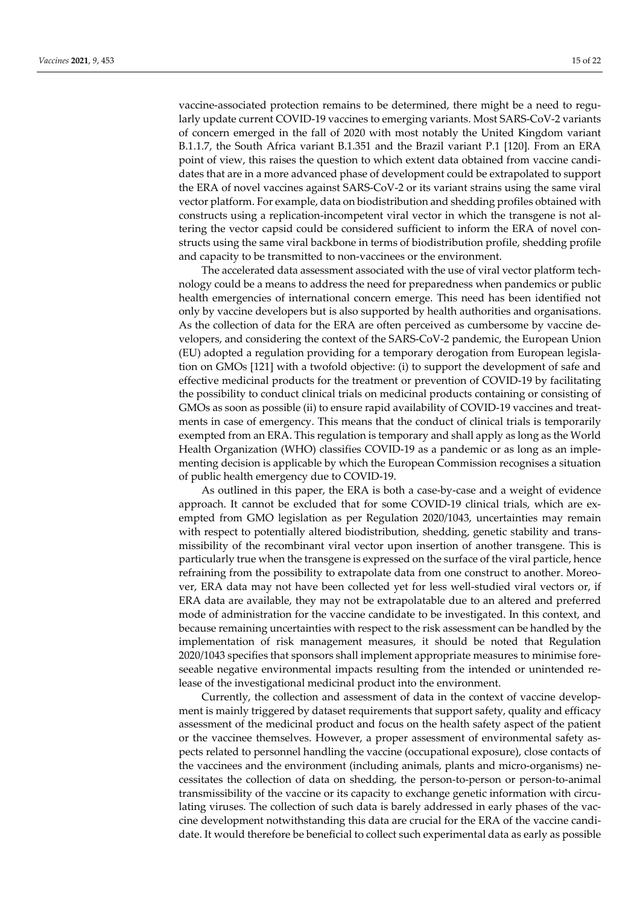vaccine-associated protection remains to be determined, there might be a need to regularly update current COVID-19 vaccines to emerging variants. Most SARS-CoV-2 variants of concern emerged in the fall of 2020 with most notably the United Kingdom variant B.1.1.7, the South Africa variant B.1.351 and the Brazil variant P.1 [120]. From an ERA point of view, this raises the question to which extent data obtained from vaccine candidates that are in a more advanced phase of development could be extrapolated to support the ERA of novel vaccines against SARS-CoV-2 or its variant strains using the same viral vector platform. For example, data on biodistribution and shedding profiles obtained with constructs using a replication-incompetent viral vector in which the transgene is not altering the vector capsid could be considered sufficient to inform the ERA of novel constructs using the same viral backbone in terms of biodistribution profile, shedding profile and capacity to be transmitted to non-vaccinees or the environment.

The accelerated data assessment associated with the use of viral vector platform technology could be a means to address the need for preparedness when pandemics or public health emergencies of international concern emerge. This need has been identified not only by vaccine developers but is also supported by health authorities and organisations. As the collection of data for the ERA are often perceived as cumbersome by vaccine developers, and considering the context of the SARS-CoV-2 pandemic, the European Union (EU) adopted a regulation providing for a temporary derogation from European legislation on GMOs [121] with a twofold objective: (i) to support the development of safe and effective medicinal products for the treatment or prevention of COVID-19 by facilitating the possibility to conduct clinical trials on medicinal products containing or consisting of GMOs as soon as possible (ii) to ensure rapid availability of COVID-19 vaccines and treatments in case of emergency. This means that the conduct of clinical trials is temporarily exempted from an ERA. This regulation is temporary and shall apply as long as the World Health Organization (WHO) classifies COVID-19 as a pandemic or as long as an implementing decision is applicable by which the European Commission recognises a situation of public health emergency due to COVID-19.

As outlined in this paper, the ERA is both a case-by-case and a weight of evidence approach. It cannot be excluded that for some COVID-19 clinical trials, which are exempted from GMO legislation as per Regulation 2020/1043, uncertainties may remain with respect to potentially altered biodistribution, shedding, genetic stability and transmissibility of the recombinant viral vector upon insertion of another transgene. This is particularly true when the transgene is expressed on the surface of the viral particle, hence refraining from the possibility to extrapolate data from one construct to another. Moreover, ERA data may not have been collected yet for less well-studied viral vectors or, if ERA data are available, they may not be extrapolatable due to an altered and preferred mode of administration for the vaccine candidate to be investigated. In this context, and because remaining uncertainties with respect to the risk assessment can be handled by the implementation of risk management measures, it should be noted that Regulation 2020/1043 specifies that sponsors shall implement appropriate measures to minimise foreseeable negative environmental impacts resulting from the intended or unintended release of the investigational medicinal product into the environment.

Currently, the collection and assessment of data in the context of vaccine development is mainly triggered by dataset requirements that support safety, quality and efficacy assessment of the medicinal product and focus on the health safety aspect of the patient or the vaccinee themselves. However, a proper assessment of environmental safety aspects related to personnel handling the vaccine (occupational exposure), close contacts of the vaccinees and the environment (including animals, plants and micro-organisms) necessitates the collection of data on shedding, the person-to-person or person-to-animal transmissibility of the vaccine or its capacity to exchange genetic information with circulating viruses. The collection of such data is barely addressed in early phases of the vaccine development notwithstanding this data are crucial for the ERA of the vaccine candidate. It would therefore be beneficial to collect such experimental data as early as possible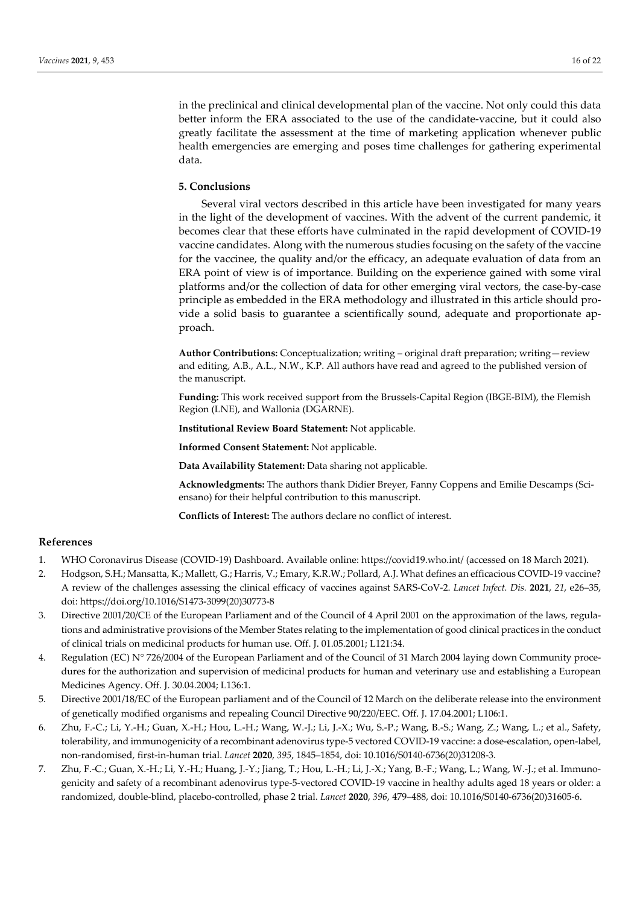in the preclinical and clinical developmental plan of the vaccine. Not only could this data better inform the ERA associated to the use of the candidate-vaccine, but it could also greatly facilitate the assessment at the time of marketing application whenever public health emergencies are emerging and poses time challenges for gathering experimental data.

# **5. Conclusions**

Several viral vectors described in this article have been investigated for many years in the light of the development of vaccines. With the advent of the current pandemic, it becomes clear that these efforts have culminated in the rapid development of COVID-19 vaccine candidates. Along with the numerous studies focusing on the safety of the vaccine for the vaccinee, the quality and/or the efficacy, an adequate evaluation of data from an ERA point of view is of importance. Building on the experience gained with some viral platforms and/or the collection of data for other emerging viral vectors, the case-by-case principle as embedded in the ERA methodology and illustrated in this article should provide a solid basis to guarantee a scientifically sound, adequate and proportionate approach.

**Author Contributions:** Conceptualization; writing – original draft preparation; writing—review and editing, A.B., A.L., N.W., K.P. All authors have read and agreed to the published version of the manuscript.

**Funding:** This work received support from the Brussels-Capital Region (IBGE-BIM), the Flemish Region (LNE), and Wallonia (DGARNE).

**Institutional Review Board Statement:** Not applicable.

**Informed Consent Statement:** Not applicable.

**Data Availability Statement:** Data sharing not applicable.

**Acknowledgments:** The authors thank Didier Breyer, Fanny Coppens and Emilie Descamps (Sciensano) for their helpful contribution to this manuscript.

**Conflicts of Interest:** The authors declare no conflict of interest.

## **References**

- 1. WHO Coronavirus Disease (COVID-19) Dashboard. Available online: https://covid19.who.int/ (accessed on 18 March 2021).
- 2. Hodgson, S.H.; Mansatta, K.; Mallett, G.; Harris, V.; Emary, K.R.W.; Pollard, A.J. What defines an efficacious COVID-19 vaccine? A review of the challenges assessing the clinical efficacy of vaccines against SARS-CoV-2. *Lancet Infect. Dis.* **2021**, *21*, e26–35, doi: https://doi.org/10.1016/S1473-3099(20)30773-8
- 3. Directive 2001/20/CE of the European Parliament and of the Council of 4 April 2001 on the approximation of the laws, regulations and administrative provisions of the Member States relating to the implementation of good clinical practices in the conduct of clinical trials on medicinal products for human use. Off. J. 01.05.2001; L121:34.
- 4. Regulation (EC) N° 726/2004 of the European Parliament and of the Council of 31 March 2004 laying down Community procedures for the authorization and supervision of medicinal products for human and veterinary use and establishing a European Medicines Agency. Off. J. 30.04.2004; L136:1.
- 5. Directive 2001/18/EC of the European parliament and of the Council of 12 March on the deliberate release into the environment of genetically modified organisms and repealing Council Directive 90/220/EEC. Off. J. 17.04.2001; L106:1.
- 6. Zhu, F.-C.; Li, Y.-H.; Guan, X.-H.; Hou, L.-H.; Wang, W.-J.; Li, J.-X.; Wu, S.-P.; Wang, B.-S.; Wang, Z.; Wang, L.; et al., Safety, tolerability, and immunogenicity of a recombinant adenovirus type-5 vectored COVID-19 vaccine: a dose-escalation, open-label, non-randomised, first-in-human trial. *Lancet* **2020**, *395*, 1845–1854, doi: 10.1016/S0140-6736(20)31208-3.
- 7. Zhu, F.-C.; Guan, X.-H.; Li, Y.-H.; Huang, J.-Y.; Jiang, T.; Hou, L.-H.; Li, J.-X.; Yang, B.-F.; Wang, L.; Wang, W.-J.; et al. Immunogenicity and safety of a recombinant adenovirus type-5-vectored COVID-19 vaccine in healthy adults aged 18 years or older: a randomized, double-blind, placebo-controlled, phase 2 trial. *Lancet* **2020**, *396*, 479–488, doi: 10.1016/S0140-6736(20)31605-6.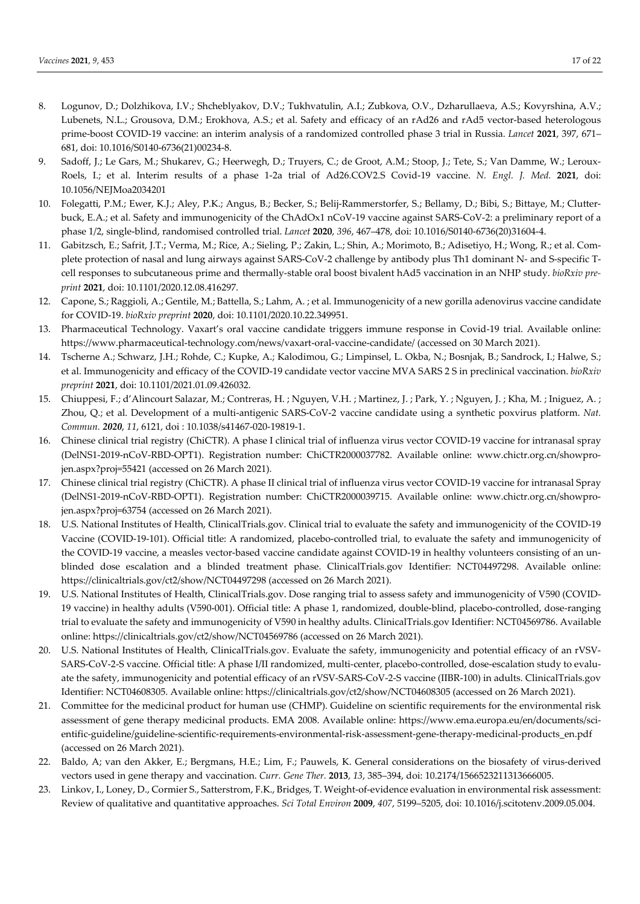- 8. Logunov, D.; Dolzhikova, I.V.; Shcheblyakov, D.V.; Tukhvatulin, A.I.; Zubkova, O.V., Dzharullaeva, A.S.; Kovyrshina, A.V.; Lubenets, N.L.; Grousova, D.M.; Erokhova, A.S.; et al. Safety and efficacy of an rAd26 and rAd5 vector-based heterologous prime-boost COVID-19 vaccine: an interim analysis of a randomized controlled phase 3 trial in Russia. *Lancet* **2021**, 397, 671– 681, doi: 10.1016/S0140-6736(21)00234-8.
- 9. Sadoff, J.; Le Gars, M.; Shukarev, G.; Heerwegh, D.; Truyers, C.; de Groot, A.M.; Stoop, J.; Tete, S.; Van Damme, W.; Leroux-Roels, I.; et al. Interim results of a phase 1-2a trial of Ad26.COV2.S Covid-19 vaccine. *N. Engl. J. Med.* **2021**, doi: 10.1056/NEJMoa2034201
- 10. Folegatti, P.M.; Ewer, K.J.; Aley, P.K.; Angus, B.; Becker, S.; Belij-Rammerstorfer, S.; Bellamy, D.; Bibi, S.; Bittaye, M.; Clutterbuck, E.A.; et al. Safety and immunogenicity of the ChAdOx1 nCoV-19 vaccine against SARS-CoV-2: a preliminary report of a phase 1/2, single-blind, randomised controlled trial. *Lancet* **2020**, *396*, 467–478, doi: 10.1016/S0140-6736(20)31604-4.
- 11. Gabitzsch, E.; Safrit, J.T.; Verma, M.; Rice, A.; Sieling, P.; Zakin, L.; Shin, A.; Morimoto, B.; Adisetiyo, H.; Wong, R.; et al. Complete protection of nasal and lung airways against SARS-CoV-2 challenge by antibody plus Th1 dominant N- and S-specific Tcell responses to subcutaneous prime and thermally-stable oral boost bivalent hAd5 vaccination in an NHP study. *bioRxiv preprint* **2021**, doi: 10.1101/2020.12.08.416297.
- 12. Capone, S.; Raggioli, A.; Gentile, M.; Battella, S.; Lahm, A. ; et al. Immunogenicity of a new gorilla adenovirus vaccine candidate for COVID-19. *bioRxiv preprint* **2020**, doi: 10.1101/2020.10.22.349951.
- 13. Pharmaceutical Technology. Vaxart's oral vaccine candidate triggers immune response in Covid-19 trial. Available online: https://www.pharmaceutical-technology.com/news/vaxart-oral-vaccine-candidate/ (accessed on 30 March 2021).
- 14. Tscherne A.; Schwarz, J.H.; Rohde, C.; Kupke, A.; Kalodimou, G.; Limpinsel, L. Okba, N.; Bosnjak, B.; Sandrock, I.; Halwe, S.; et al. Immunogenicity and efficacy of the COVID-19 candidate vector vaccine MVA SARS 2 S in preclinical vaccination. *bioRxiv preprint* **2021**, doi: 10.1101/2021.01.09.426032.
- 15. Chiuppesi, F.; d'Alincourt Salazar, M.; Contreras, H. ; Nguyen, V.H. ; Martinez, J. ; Park, Y. ; Nguyen, J. ; Kha, M. ; Iniguez, A. ; Zhou, Q.; et al. Development of a multi-antigenic SARS-CoV-2 vaccine candidate using a synthetic poxvirus platform. *Nat. Commun. 2020*, *11*, 6121, doi : 10.1038/s41467-020-19819-1.
- 16. Chinese clinical trial registry (ChiCTR). A phase I clinical trial of influenza virus vector COVID-19 vaccine for intranasal spray (DelNS1-2019-nCoV-RBD-OPT1). Registration number: ChiCTR2000037782. Available online: www.chictr.org.cn/showprojen.aspx?proj=55421 (accessed on 26 March 2021).
- 17. Chinese clinical trial registry (ChiCTR). A phase II clinical trial of influenza virus vector COVID-19 vaccine for intranasal Spray (DelNS1-2019-nCoV-RBD-OPT1). Registration number: ChiCTR2000039715. Available online: www.chictr.org.cn/showprojen.aspx?proj=63754 (accessed on 26 March 2021).
- 18. U.S. National Institutes of Health, ClinicalTrials.gov. Clinical trial to evaluate the safety and immunogenicity of the COVID-19 Vaccine (COVID-19-101). Official title: A randomized, placebo-controlled trial, to evaluate the safety and immunogenicity of the COVID-19 vaccine, a measles vector-based vaccine candidate against COVID-19 in healthy volunteers consisting of an unblinded dose escalation and a blinded treatment phase. ClinicalTrials.gov Identifier: NCT04497298. Available online: https://clinicaltrials.gov/ct2/show/NCT04497298 (accessed on 26 March 2021).
- 19. U.S. National Institutes of Health, ClinicalTrials.gov. Dose ranging trial to assess safety and immunogenicity of V590 (COVID-19 vaccine) in healthy adults (V590-001). Official title: A phase 1, randomized, double-blind, placebo-controlled, dose-ranging trial to evaluate the safety and immunogenicity of V590 in healthy adults. ClinicalTrials.gov Identifier: NCT04569786. Available online: https://clinicaltrials.gov/ct2/show/NCT04569786 (accessed on 26 March 2021).
- 20. U.S. National Institutes of Health, ClinicalTrials.gov. Evaluate the safety, immunogenicity and potential efficacy of an rVSV-SARS-CoV-2-S vaccine. Official title: A phase I/II randomized, multi-center, placebo-controlled, dose-escalation study to evaluate the safety, immunogenicity and potential efficacy of an rVSV-SARS-CoV-2-S vaccine (IIBR-100) in adults. ClinicalTrials.gov Identifier: NCT04608305. Available online: https://clinicaltrials.gov/ct2/show/NCT04608305 (accessed on 26 March 2021).
- 21. Committee for the medicinal product for human use (CHMP). Guideline on scientific requirements for the environmental risk assessment of gene therapy medicinal products. EMA 2008. Available online: https://www.ema.europa.eu/en/documents/scientific-guideline/guideline-scientific-requirements-environmental-risk-assessment-gene-therapy-medicinal-products\_en.pdf (accessed on 26 March 2021).
- 22. Baldo, A; van den Akker, E.; Bergmans, H.E.; Lim, F.; Pauwels, K. General considerations on the biosafety of virus-derived vectors used in gene therapy and vaccination. *Curr. Gene Ther.* **2013**, *13*, 385–394, doi: 10.2174/1566523211313666005.
- 23. Linkov, I., Loney, D., Cormier S., Satterstrom, F.K., Bridges, T. Weight-of-evidence evaluation in environmental risk assessment: Review of qualitative and quantitative approaches. *Sci Total Environ* **2009**, *407*, 5199–5205, doi: 10.1016/j.scitotenv.2009.05.004.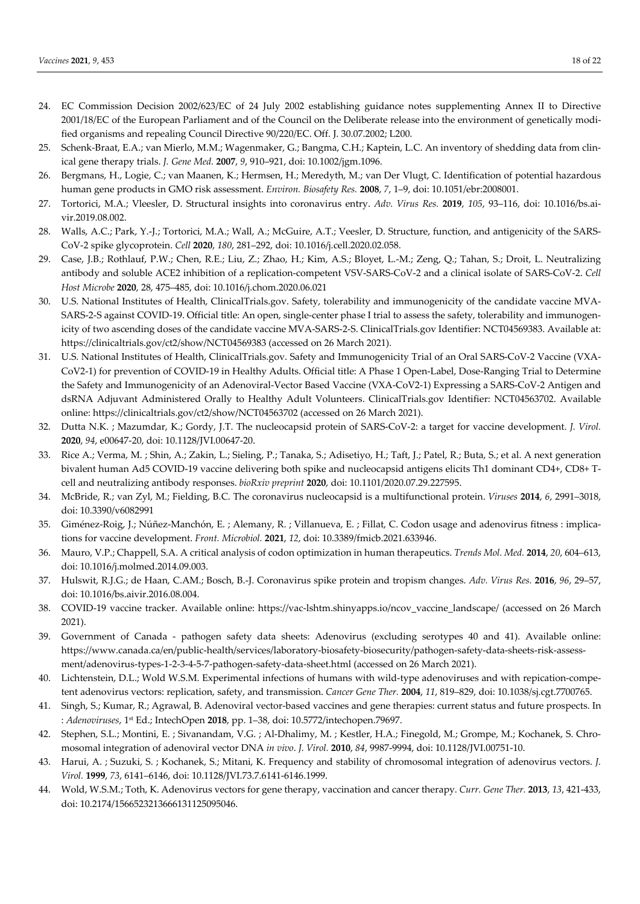- 24. EC Commission Decision 2002/623/EC of 24 July 2002 establishing guidance notes supplementing Annex II to Directive 2001/18/EC of the European Parliament and of the Council on the Deliberate release into the environment of genetically modified organisms and repealing Council Directive 90/220/EC. Off. J. 30.07.2002; L200.
- 25. Schenk-Braat, E.A.; van Mierlo, M.M.; Wagenmaker, G.; Bangma, C.H.; Kaptein, L.C. An inventory of shedding data from clinical gene therapy trials. *J. Gene Med.* **2007**, *9*, 910–921, doi: 10.1002/jgm.1096.
- 26. Bergmans, H., Logie, C.; van Maanen, K.; Hermsen, H.; Meredyth, M.; van Der Vlugt, C. Identification of potential hazardous human gene products in GMO risk assessment. *Environ. Biosafety Res.* **2008**, *7*, 1–9, doi: 10.1051/ebr:2008001.
- 27. Tortorici, M.A.; Vleesler, D. Structural insights into coronavirus entry. *Adv. Virus Res.* **2019**, *105*, 93–116, doi: 10.1016/bs.aivir.2019.08.002.
- 28. Walls, A.C.; Park, Y.-J.; Tortorici, M.A.; Wall, A.; McGuire, A.T.; Veesler, D. Structure, function, and antigenicity of the SARS-CoV-2 spike glycoprotein. *Cell* **2020**, *180*, 281–292, doi: 10.1016/j.cell.2020.02.058.
- 29. Case, J.B.; Rothlauf, P.W.; Chen, R.E.; Liu, Z.; Zhao, H.; Kim, A.S.; Bloyet, L.-M.; Zeng, Q.; Tahan, S.; Droit, L. Neutralizing antibody and soluble ACE2 inhibition of a replication-competent VSV-SARS-CoV-2 and a clinical isolate of SARS-CoV-2. *Cell Host Microbe* **2020**, 28, 475–485, doi: 10.1016/j.chom.2020.06.021
- 30. U.S. National Institutes of Health, ClinicalTrials.gov. Safety, tolerability and immunogenicity of the candidate vaccine MVA-SARS-2-S against COVID-19. Official title: An open, single-center phase I trial to assess the safety, tolerability and immunogenicity of two ascending doses of the candidate vaccine MVA-SARS-2-S. ClinicalTrials.gov Identifier: NCT04569383. Available at: https://clinicaltrials.gov/ct2/show/NCT04569383 (accessed on 26 March 2021).
- 31. U.S. National Institutes of Health, ClinicalTrials.gov. Safety and Immunogenicity Trial of an Oral SARS-CoV-2 Vaccine (VXA-CoV2-1) for prevention of COVID-19 in Healthy Adults. Official title: A Phase 1 Open-Label, Dose-Ranging Trial to Determine the Safety and Immunogenicity of an Adenoviral-Vector Based Vaccine (VXA-CoV2-1) Expressing a SARS-CoV-2 Antigen and dsRNA Adjuvant Administered Orally to Healthy Adult Volunteers. ClinicalTrials.gov Identifier: NCT04563702. Available online: https://clinicaltrials.gov/ct2/show/NCT04563702 (accessed on 26 March 2021).
- 32. Dutta N.K. ; Mazumdar, K.; Gordy, J.T. The nucleocapsid protein of SARS-CoV-2: a target for vaccine development. *J. Virol.* **2020**, *94*, e00647-20, doi: 10.1128/JVI.00647-20.
- 33. Rice A.; Verma, M. ; Shin, A.; Zakin, L.; Sieling, P.; Tanaka, S.; Adisetiyo, H.; Taft, J.; Patel, R.; Buta, S.; et al. A next generation bivalent human Ad5 COVID-19 vaccine delivering both spike and nucleocapsid antigens elicits Th1 dominant CD4+, CD8+ Tcell and neutralizing antibody responses. *bioRxiv preprint* **2020**, doi: 10.1101/2020.07.29.227595.
- 34. McBride, R.; van Zyl, M.; Fielding, B.C. The coronavirus nucleocapsid is a multifunctional protein. *Viruses* **2014**, *6*, 2991–3018, doi: 10.3390/v6082991
- 35. Giménez-Roig, J.; Núñez-Manchón, E. ; Alemany, R. ; Villanueva, E. ; Fillat, C. Codon usage and adenovirus fitness : implications for vaccine development. *Front. Microbiol.* **2021**, *12*, doi: 10.3389/fmicb.2021.633946.
- 36. Mauro, V.P.; Chappell, S.A. A critical analysis of codon optimization in human therapeutics. *Trends Mol. Med.* **2014**, *20*, 604–613, doi: 10.1016/j.molmed.2014.09.003.
- 37. Hulswit, R.J.G.; de Haan, C.AM.; Bosch, B.-J. Coronavirus spike protein and tropism changes. *Adv. Virus Res.* **2016**, *96*, 29–57, doi: 10.1016/bs.aivir.2016.08.004.
- 38. COVID-19 vaccine tracker. Available online: https://vac-lshtm.shinyapps.io/ncov\_vaccine\_landscape/ (accessed on 26 March 2021).
- 39. Government of Canada pathogen safety data sheets: Adenovirus (excluding serotypes 40 and 41). Available online: https://www.canada.ca/en/public-health/services/laboratory-biosafety-biosecurity/pathogen-safety-data-sheets-risk-assessment/adenovirus-types-1-2-3-4-5-7-pathogen-safety-data-sheet.html (accessed on 26 March 2021).
- 40. Lichtenstein, D.L.; Wold W.S.M. Experimental infections of humans with wild-type adenoviruses and with repication-competent adenovirus vectors: replication, safety, and transmission. *Cancer Gene Ther.* **2004**, *11*, 819–829, doi: 10.1038/sj.cgt.7700765.
- 41. Singh, S.; Kumar, R.; Agrawal, B. Adenoviral vector-based vaccines and gene therapies: current status and future prospects. In : *Adenoviruses*, 1st Ed.; IntechOpen **2018**, pp. 1–38, doi: 10.5772/intechopen.79697.
- 42. Stephen, S.L.; Montini, E. ; Sivanandam, V.G. ; Al-Dhalimy, M. ; Kestler, H.A.; Finegold, M.; Grompe, M.; Kochanek, S. Chromosomal integration of adenoviral vector DNA *in vivo*. *J. Virol.* **2010**, *84*, 9987-9994, doi: 10.1128/JVI.00751-10.
- 43. Harui, A. ; Suzuki, S. ; Kochanek, S.; Mitani, K. Frequency and stability of chromosomal integration of adenovirus vectors. *J. Virol.* **1999**, *73*, 6141–6146, doi: 10.1128/JVI.73.7.6141-6146.1999.
- 44. Wold, W.S.M.; Toth, K. Adenovirus vectors for gene therapy, vaccination and cancer therapy. *Curr. Gene Ther.* **2013**, *13*, 421-433, doi: 10.2174/1566523213666131125095046.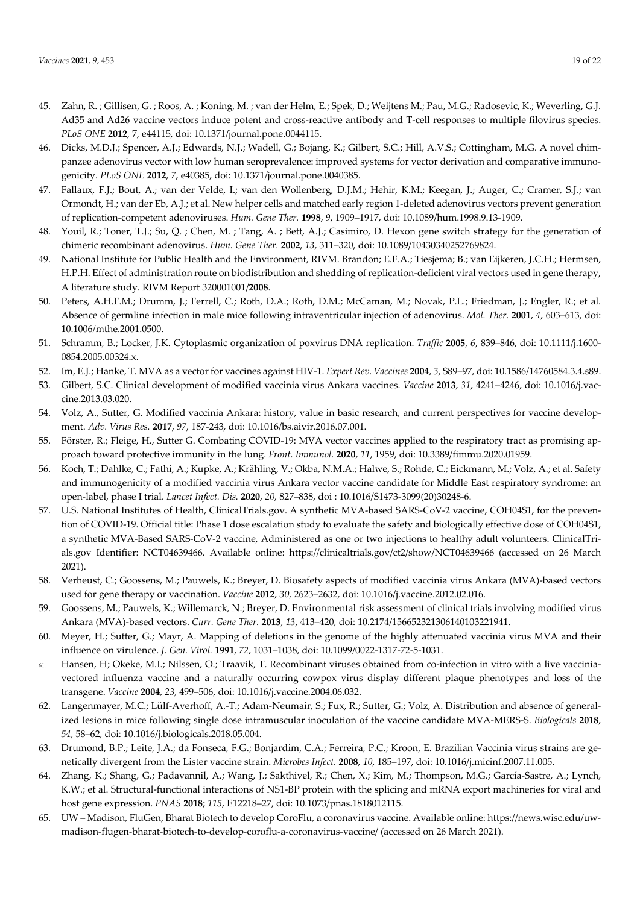- 45. Zahn, R. ; Gillisen, G. ; Roos, A. ; Koning, M. ; van der Helm, E.; Spek, D.; Weijtens M.; Pau, M.G.; Radosevic, K.; Weverling, G.J. Ad35 and Ad26 vaccine vectors induce potent and cross-reactive antibody and T-cell responses to multiple filovirus species. *PLoS ONE* **2012**, 7, e44115, doi: 10.1371/journal.pone.0044115.
- 46. Dicks, M.D.J.; Spencer, A.J.; Edwards, N.J.; Wadell, G.; Bojang, K.; Gilbert, S.C.; Hill, A.V.S.; Cottingham, M.G. A novel chimpanzee adenovirus vector with low human seroprevalence: improved systems for vector derivation and comparative immunogenicity. *PLoS ONE* **2012**, *7*, e40385, doi: 10.1371/journal.pone.0040385.
- 47. Fallaux, F.J.; Bout, A.; van der Velde, I.; van den Wollenberg, D.J.M.; Hehir, K.M.; Keegan, J.; Auger, C.; Cramer, S.J.; van Ormondt, H.; van der Eb, A.J.; et al. New helper cells and matched early region 1-deleted adenovirus vectors prevent generation of replication-competent adenoviruses. *Hum. Gene Ther.* **1998**, *9*, 1909–1917, doi: 10.1089/hum.1998.9.13-1909.
- 48. Youil, R.; Toner, T.J.; Su, Q. ; Chen, M. ; Tang, A. ; Bett, A.J.; Casimiro, D. Hexon gene switch strategy for the generation of chimeric recombinant adenovirus. *Hum. Gene Ther.* **2002**, *13*, 311–320, doi: 10.1089/10430340252769824.
- 49. National Institute for Public Health and the Environment, RIVM. Brandon; E.F.A.; Tiesjema; B.; van Eijkeren, J.C.H.; Hermsen, H.P.H. Effect of administration route on biodistribution and shedding of replication-deficient viral vectors used in gene therapy, A literature study. RIVM Report 320001001/**2008**.
- 50. Peters, A.H.F.M.; Drumm, J.; Ferrell, C.; Roth, D.A.; Roth, D.M.; McCaman, M.; Novak, P.L.; Friedman, J.; Engler, R.; et al. Absence of germline infection in male mice following intraventricular injection of adenovirus. *Mol. Ther.* **2001**, *4*, 603–613, doi: 10.1006/mthe.2001.0500.
- 51. Schramm, B.; Locker, J.K. Cytoplasmic organization of poxvirus DNA replication. *Traffic* **2005**, *6*, 839–846, doi: 10.1111/j.1600- 0854.2005.00324.x.
- 52. Im, E.J.; Hanke, T. MVA as a vector for vaccines against HIV-1. *Expert Rev. Vaccines* **2004**, *3*, S89–97, doi: 10.1586/14760584.3.4.s89.
- 53. Gilbert, S.C. Clinical development of modified vaccinia virus Ankara vaccines. *Vaccine* **2013**, *31*, 4241–4246, doi: 10.1016/j.vaccine.2013.03.020.
- 54. Volz, A., Sutter, G. Modified vaccinia Ankara: history, value in basic research, and current perspectives for vaccine development. *Adv. Virus Res.* **2017**, *97*, 187-243, doi: 10.1016/bs.aivir.2016.07.001.
- 55. Förster, R.; Fleige, H., Sutter G. Combating COVID-19: MVA vector vaccines applied to the respiratory tract as promising approach toward protective immunity in the lung. *Front. Immunol.* **2020**, *11*, 1959, doi: 10.3389/fimmu.2020.01959.
- 56. Koch, T.; Dahlke, C.; Fathi, A.; Kupke, A.; Krähling, V.; Okba, N.M.A.; Halwe, S.; Rohde, C.; Eickmann, M.; Volz, A.; et al. Safety and immunogenicity of a modified vaccinia virus Ankara vector vaccine candidate for Middle East respiratory syndrome: an open-label, phase I trial. *Lancet Infect. Dis.* **2020**, *20*, 827–838, doi : 10.1016/S1473-3099(20)30248-6.
- 57. U.S. National Institutes of Health, ClinicalTrials.gov. A synthetic MVA-based SARS-CoV-2 vaccine, COH04S1, for the prevention of COVID-19. Official title: Phase 1 dose escalation study to evaluate the safety and biologically effective dose of COH04S1, a synthetic MVA-Based SARS-CoV-2 vaccine, Administered as one or two injections to healthy adult volunteers. ClinicalTrials.gov Identifier: NCT04639466. Available online: https://clinicaltrials.gov/ct2/show/NCT04639466 (accessed on 26 March 2021).
- 58. Verheust, C.; Goossens, M.; Pauwels, K.; Breyer, D. Biosafety aspects of modified vaccinia virus Ankara (MVA)-based vectors used for gene therapy or vaccination. *Vaccine* **2012**, *30,* 2623–2632, doi: 10.1016/j.vaccine.2012.02.016.
- 59. Goossens, M.; Pauwels, K.; Willemarck, N.; Breyer, D. Environmental risk assessment of clinical trials involving modified virus Ankara (MVA)-based vectors. *Curr. Gene Ther.* **2013**, *13*, 413–420, doi: 10.2174/156652321306140103221941.
- 60. Meyer, H.; Sutter, G.; Mayr, A. Mapping of deletions in the genome of the highly attenuated vaccinia virus MVA and their influence on virulence. *J. Gen. Virol.* **1991**, *72*, 1031–1038, doi: 10.1099/0022-1317-72-5-1031.
- 61. Hansen, H; Okeke, M.I.; Nilssen, O.; Traavik, T. Recombinant viruses obtained from co-infection in vitro with a live vacciniavectored influenza vaccine and a naturally occurring cowpox virus display different plaque phenotypes and loss of the transgene. *Vaccine* **2004**, *23*, 499–506, doi: 10.1016/j.vaccine.2004.06.032.
- 62. Langenmayer, M.C.; Lülf-Averhoff, A.-T.; Adam-Neumair, S.; Fux, R.; Sutter, G.; Volz, A. Distribution and absence of generalized lesions in mice following single dose intramuscular inoculation of the vaccine candidate MVA-MERS-S. *Biologicals* **2018**, *54*, 58–62, doi: 10.1016/j.biologicals.2018.05.004.
- 63. Drumond, B.P.; Leite, J.A.; da Fonseca, F.G.; Bonjardim, C.A.; Ferreira, P.C.; Kroon, E. Brazilian Vaccinia virus strains are genetically divergent from the Lister vaccine strain. *Microbes Infect.* **2008**, *10*, 185–197, doi: 10.1016/j.micinf.2007.11.005.
- 64. Zhang, K.; Shang, G.; Padavannil, A.; Wang, J.; Sakthivel, R.; Chen, X.; Kim, M.; Thompson, M.G.; García-Sastre, A.; Lynch, K.W.; et al. Structural-functional interactions of NS1-BP protein with the splicing and mRNA export machineries for viral and host gene expression. *PNAS* **2018**; *115*, E12218–27, doi: 10.1073/pnas.1818012115.
- 65. UW Madison, FluGen, Bharat Biotech to develop CoroFlu, a coronavirus vaccine. Available online: https://news.wisc.edu/uwmadison-flugen-bharat-biotech-to-develop-coroflu-a-coronavirus-vaccine/ (accessed on 26 March 2021).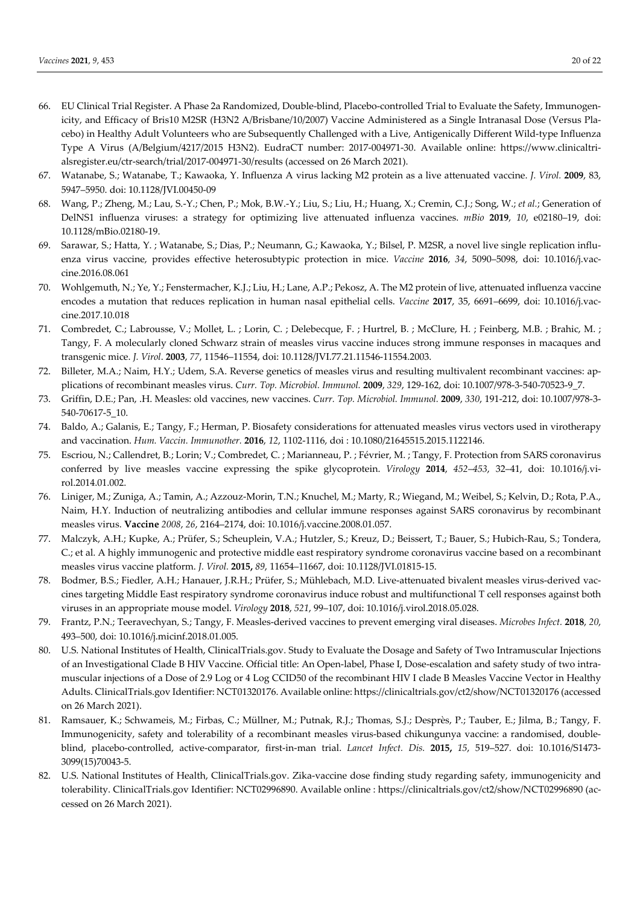- 66. EU Clinical Trial Register. A Phase 2a Randomized, Double-blind, Placebo-controlled Trial to Evaluate the Safety, Immunogenicity, and Efficacy of Bris10 M2SR (H3N2 A/Brisbane/10/2007) Vaccine Administered as a Single Intranasal Dose (Versus Placebo) in Healthy Adult Volunteers who are Subsequently Challenged with a Live, Antigenically Different Wild-type Influenza Type A Virus (A/Belgium/4217/2015 H3N2). EudraCT number: 2017-004971-30. Available online: https://www.clinicaltrialsregister.eu/ctr-search/trial/2017-004971-30/results (accessed on 26 March 2021).
- 67. Watanabe, S.; Watanabe, T.; Kawaoka, Y. Influenza A virus lacking M2 protein as a live attenuated vaccine. *J. Virol.* **2009**, 83, 5947–5950. doi: 10.1128/JVI.00450-09
- 68. Wang, P.; Zheng, M.; Lau, S.-Y.; Chen, P.; Mok, B.W.-Y.; Liu, S.; Liu, H.; Huang, X.; Cremin, C.J.; Song, W.; *et al.*; Generation of DelNS1 influenza viruses: a strategy for optimizing live attenuated influenza vaccines. *mBio* **2019**, *10*, e02180–19, doi: 10.1128/mBio.02180-19.
- 69. Sarawar, S.; Hatta, Y. ; Watanabe, S.; Dias, P.; Neumann, G.; Kawaoka, Y.; Bilsel, P. M2SR, a novel live single replication influenza virus vaccine, provides effective heterosubtypic protection in mice. *Vaccine* **2016**, *34*, 5090–5098, doi: 10.1016/j.vaccine.2016.08.061
- 70. Wohlgemuth, N.; Ye, Y.; Fenstermacher, K.J.; Liu, H.; Lane, A.P.; Pekosz, A. The M2 protein of live, attenuated influenza vaccine encodes a mutation that reduces replication in human nasal epithelial cells. *Vaccine* **2017**, 35, 6691–6699, doi: 10.1016/j.vaccine.2017.10.018
- 71. Combredet, C.; Labrousse, V.; Mollet, L. ; Lorin, C. ; Delebecque, F. ; Hurtrel, B. ; McClure, H. ; Feinberg, M.B. ; Brahic, M. ; Tangy, F. A molecularly cloned Schwarz strain of measles virus vaccine induces strong immune responses in macaques and transgenic mice. *J. Virol*. **2003**, *77*, 11546–11554, doi: 10.1128/JVI.77.21.11546-11554.2003.
- 72. Billeter, M.A.; Naim, H.Y.; Udem, S.A. Reverse genetics of measles virus and resulting multivalent recombinant vaccines: applications of recombinant measles virus. *Curr. Top. Microbiol. Immunol.* **2009**, *329*, 129-162, doi: 10.1007/978-3-540-70523-9\_7.
- 73. Griffin, D.E.; Pan, .H. Measles: old vaccines, new vaccines. *Curr. Top. Microbiol. Immunol.* **2009**, *330*, 191-212, doi: 10.1007/978-3- 540-70617-5\_10.
- 74. Baldo, A.; Galanis, E.; Tangy, F.; Herman, P. Biosafety considerations for attenuated measles virus vectors used in virotherapy and vaccination. *Hum. Vaccin. Immunother.* **2016**, *12*, 1102-1116, doi : 10.1080/21645515.2015.1122146.
- 75. Escriou, N.; Callendret, B.; Lorin; V.; Combredet, C. ; Marianneau, P. ; Février, M. ; Tangy, F. Protection from SARS coronavirus conferred by live measles vaccine expressing the spike glycoprotein. *Virology* **2014**, *452*–*453*, 32–41, doi: 10.1016/j.virol.2014.01.002.
- 76. Liniger, M.; Zuniga, A.; Tamin, A.; Azzouz-Morin, T.N.; Knuchel, M.; Marty, R.; Wiegand, M.; Weibel, S.; Kelvin, D.; Rota, P.A., Naim, H.Y. Induction of neutralizing antibodies and cellular immune responses against SARS coronavirus by recombinant measles virus. **Vaccine** *2008*, *26*, 2164–2174, doi: 10.1016/j.vaccine.2008.01.057.
- 77. Malczyk, A.H.; Kupke, A.; Prüfer, S.; Scheuplein, V.A.; Hutzler, S.; Kreuz, D.; Beissert, T.; Bauer, S.; Hubich-Rau, S.; Tondera, C.; et al. A highly immunogenic and protective middle east respiratory syndrome coronavirus vaccine based on a recombinant measles virus vaccine platform. *J. Virol.* **2015,** *89*, 11654–11667, doi: 10.1128/JVI.01815-15.
- 78. Bodmer, B.S.; Fiedler, A.H.; Hanauer, J.R.H.; Prüfer, S.; Mühlebach, M.D. Live-attenuated bivalent measles virus-derived vaccines targeting Middle East respiratory syndrome coronavirus induce robust and multifunctional T cell responses against both viruses in an appropriate mouse model. *Virology* **2018**, *521*, 99–107, doi: 10.1016/j.virol.2018.05.028.
- 79. Frantz, P.N.; Teeravechyan, S.; Tangy, F. Measles-derived vaccines to prevent emerging viral diseases. *Microbes Infect.* **2018**, *20*, 493–500, doi: 10.1016/j.micinf.2018.01.005.
- 80. U.S. National Institutes of Health, ClinicalTrials.gov. Study to Evaluate the Dosage and Safety of Two Intramuscular Injections of an Investigational Clade B HIV Vaccine. Official title: An Open-label, Phase I, Dose-escalation and safety study of two intramuscular injections of a Dose of 2.9 Log or 4 Log CCID50 of the recombinant HIV I clade B Measles Vaccine Vector in Healthy Adults. ClinicalTrials.gov Identifier: NCT01320176. Available online: https://clinicaltrials.gov/ct2/show/NCT01320176 (accessed on 26 March 2021).
- 81. Ramsauer, K.; Schwameis, M.; Firbas, C.; Müllner, M.; Putnak, R.J.; Thomas, S.J.; Desprès, P.; Tauber, E.; Jilma, B.; Tangy, F. Immunogenicity, safety and tolerability of a recombinant measles virus-based chikungunya vaccine: a randomised, doubleblind, placebo-controlled, active-comparator, first-in-man trial. *Lancet Infect. Dis.* **2015,** *15*, 519–527. doi: 10.1016/S1473- 3099(15)70043-5.
- 82. U.S. National Institutes of Health, ClinicalTrials.gov. Zika-vaccine dose finding study regarding safety, immunogenicity and tolerability. ClinicalTrials.gov Identifier: NCT02996890. Available online : https://clinicaltrials.gov/ct2/show/NCT02996890 (accessed on 26 March 2021).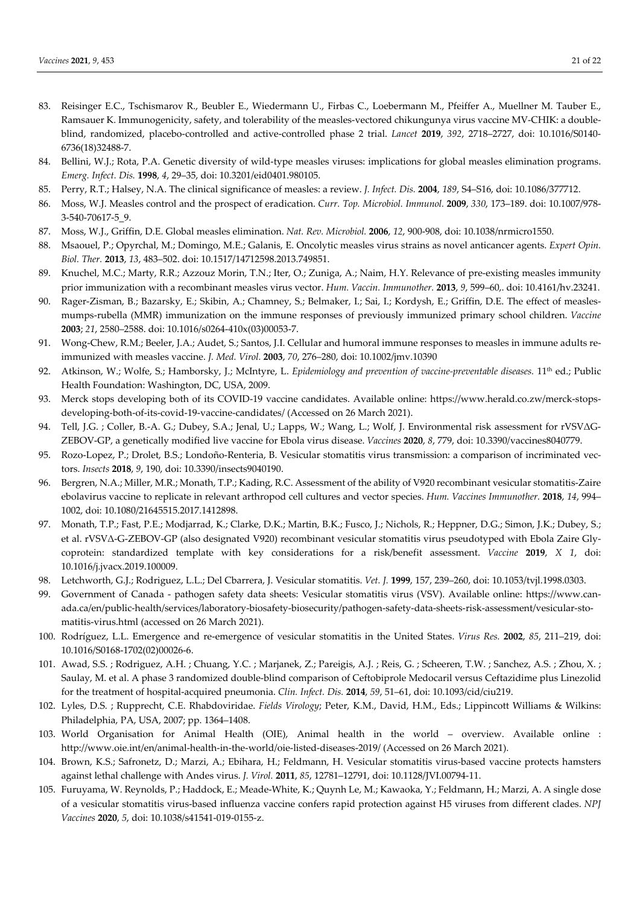- 83. Reisinger E.C., Tschismarov R., Beubler E., Wiedermann U., Firbas C., Loebermann M., Pfeiffer A., Muellner M. Tauber E., Ramsauer K. Immunogenicity, safety, and tolerability of the measles-vectored chikungunya virus vaccine MV-CHIK: a doubleblind, randomized, placebo-controlled and active-controlled phase 2 trial. *Lancet* **2019**, *392*, 2718–2727, doi: 10.1016/S0140- 6736(18)32488-7.
- 84. Bellini, W.J.; Rota, P.A. Genetic diversity of wild-type measles viruses: implications for global measles elimination programs. *Emerg. Infect. Dis.* **1998**, *4*, 29–35, doi: 10.3201/eid0401.980105.
- 85. Perry, R.T.; Halsey, N.A. The clinical significance of measles: a review. *J. Infect. Dis.* **2004**, *189*, S4–S16, doi: 10.1086/377712.
- 86. Moss, W.J. Measles control and the prospect of eradication. *Curr. Top. Microbiol. Immunol.* **2009**, *330*, 173–189. doi: 10.1007/978- 3-540-70617-5\_9.
- 87. Moss, W.J., Griffin, D.E. Global measles elimination. *Nat. Rev. Microbiol.* **2006**, *12*, 900-908, doi: 10.1038/nrmicro1550.
- 88. Msaouel, P.; Opyrchal, M.; Domingo, M.E.; Galanis, E. Oncolytic measles virus strains as novel anticancer agents. *Expert Opin. Biol. Ther.* **2013**, *13*, 483–502. doi: 10.1517/14712598.2013.749851.
- 89. Knuchel, M.C.; Marty, R.R.; Azzouz Morin, T.N.; Iter, O.; Zuniga, A.; Naim, H.Y. Relevance of pre-existing measles immunity prior immunization with a recombinant measles virus vector. *Hum. Vaccin. Immunother.* **2013**, *9*, 599–60,. doi: 10.4161/hv.23241.
- 90. Rager-Zisman, B.; Bazarsky, E.; Skibin, A.; Chamney, S.; Belmaker, I.; Sai, I.; Kordysh, E.; Griffin, D.E. The effect of measlesmumps-rubella (MMR) immunization on the immune responses of previously immunized primary school children. *Vaccine* **2003**; *21*, 2580–2588. doi: 10.1016/s0264-410x(03)00053-7.
- 91. Wong-Chew, R.M.; Beeler, J.A.; Audet, S.; Santos, J.I. Cellular and humoral immune responses to measles in immune adults reimmunized with measles vaccine. *J. Med. Virol.* **2003**, *70*, 276–280, doi: 10.1002/jmv.10390
- 92. Atkinson, W.; Wolfe, S.; Hamborsky, J.; McIntyre, L. *Epidemiology and prevention of vaccine-preventable diseases*. 11<sup>th</sup> ed.; Public Health Foundation: Washington, DC, USA, 2009.
- 93. Merck stops developing both of its COVID-19 vaccine candidates. Available online: https://www.herald.co.zw/merck-stopsdeveloping-both-of-its-covid-19-vaccine-candidates/ (Accessed on 26 March 2021).
- 94. Tell, J.G. ; Coller, B.-A. G.; Dubey, S.A.; Jenal, U.; Lapps, W.; Wang, L.; Wolf, J. Environmental risk assessment for rVSVΔG-ZEBOV-GP, a genetically modified live vaccine for Ebola virus disease. *Vaccines* **2020**, *8*, 779, doi: 10.3390/vaccines8040779.
- 95. Rozo-Lopez, P.; Drolet, B.S.; Londoño-Renteria, B. Vesicular stomatitis virus transmission: a comparison of incriminated vectors. *Insects* **2018**, *9*, 190, doi: 10.3390/insects9040190.
- 96. Bergren, N.A.; Miller, M.R.; Monath, T.P.; Kading, R.C. Assessment of the ability of V920 recombinant vesicular stomatitis-Zaire ebolavirus vaccine to replicate in relevant arthropod cell cultures and vector species. *Hum. Vaccines Immunother.* **2018**, *14*, 994– 1002, doi: 10.1080/21645515.2017.1412898.
- 97. Monath, T.P.; Fast, P.E.; Modjarrad, K.; Clarke, D.K.; Martin, B.K.; Fusco, J.; Nichols, R.; Heppner, D.G.; Simon, J.K.; Dubey, S.; et al. rVSVΔ-G-ZEBOV-GP (also designated V920) recombinant vesicular stomatitis virus pseudotyped with Ebola Zaire Glycoprotein: standardized template with key considerations for a risk/benefit assessment. *Vaccine* **2019**, *X 1*, doi: 10.1016/j.jvacx.2019.100009.
- 98. Letchworth, G.J.; Rodriguez, L.L.; Del Cbarrera, J. Vesicular stomatitis. *Vet. J.* **1999**, 157, 239–260, doi: 10.1053/tvjl.1998.0303.
- 99. Government of Canada pathogen safety data sheets: Vesicular stomatitis virus (VSV). Available online: https://www.canada.ca/en/public-health/services/laboratory-biosafety-biosecurity/pathogen-safety-data-sheets-risk-assessment/vesicular-stomatitis-virus.html (accessed on 26 March 2021).
- 100. Rodríguez, L.L. Emergence and re-emergence of vesicular stomatitis in the United States. *Virus Res.* **2002**, *85*, 211–219, doi: 10.1016/S0168-1702(02)00026-6.
- 101. Awad, S.S. ; Rodriguez, A.H. ; Chuang, Y.C. ; Marjanek, Z.; Pareigis, A.J. ; Reis, G. ; Scheeren, T.W. ; Sanchez, A.S. ; Zhou, X. ; Saulay, M. et al. A phase 3 randomized double-blind comparison of Ceftobiprole Medocaril versus Ceftazidime plus Linezolid for the treatment of hospital-acquired pneumonia. *Clin. Infect. Dis.* **2014**, *59*, 51–61, doi: 10.1093/cid/ciu219.
- 102. Lyles, D.S. ; Rupprecht, C.E. Rhabdoviridae. *Fields Virology*; Peter, K.M., David, H.M., Eds.; Lippincott Williams & Wilkins: Philadelphia, PA, USA, 2007; pp. 1364–1408.
- 103. World Organisation for Animal Health (OIE), Animal health in the world overview. Available online : http://www.oie.int/en/animal-health-in-the-world/oie-listed-diseases-2019/ (Accessed on 26 March 2021).
- 104. Brown, K.S.; Safronetz, D.; Marzi, A.; Ebihara, H.; Feldmann, H. Vesicular stomatitis virus-based vaccine protects hamsters against lethal challenge with Andes virus. *J. Virol.* **2011**, *85*, 12781–12791, doi: 10.1128/JVI.00794-11.
- 105. Furuyama, W. Reynolds, P.; Haddock, E.; Meade-White, K.; Quynh Le, M.; Kawaoka, Y.; Feldmann, H.; Marzi, A. A single dose of a vesicular stomatitis virus-based influenza vaccine confers rapid protection against H5 viruses from different clades. *NPJ Vaccines* **2020**, *5*, doi: 10.1038/s41541-019-0155-z.